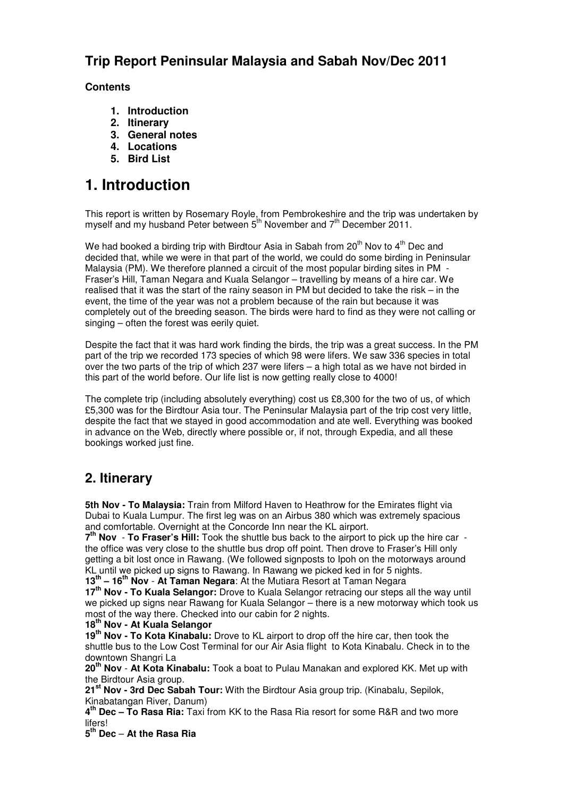## **Trip Report Peninsular Malaysia and Sabah Nov/Dec 2011**

### **Contents**

- **1. Introduction**
- **2. Itinerary**
- **3. General notes**
- **4. Locations**
- **5. Bird List**

## **1. Introduction**

This report is written by Rosemary Royle, from Pembrokeshire and the trip was undertaken by myself and my husband Peter between  $5<sup>th</sup>$  November and  $7<sup>th</sup>$  December 2011.

We had booked a birding trip with Birdtour Asia in Sabah from  $20<sup>th</sup>$  Nov to  $4<sup>th</sup>$  Dec and decided that, while we were in that part of the world, we could do some birding in Peninsular Malaysia (PM). We therefore planned a circuit of the most popular birding sites in PM - Fraser's Hill, Taman Negara and Kuala Selangor – travelling by means of a hire car. We realised that it was the start of the rainy season in PM but decided to take the risk – in the event, the time of the year was not a problem because of the rain but because it was completely out of the breeding season. The birds were hard to find as they were not calling or singing – often the forest was eerily quiet.

Despite the fact that it was hard work finding the birds, the trip was a great success. In the PM part of the trip we recorded 173 species of which 98 were lifers. We saw 336 species in total over the two parts of the trip of which 237 were lifers – a high total as we have not birded in this part of the world before. Our life list is now getting really close to 4000!

The complete trip (including absolutely everything) cost us £8,300 for the two of us, of which £5,300 was for the Birdtour Asia tour. The Peninsular Malaysia part of the trip cost very little, despite the fact that we stayed in good accommodation and ate well. Everything was booked in advance on the Web, directly where possible or, if not, through Expedia, and all these bookings worked just fine.

### **2. Itinerary**

**5th Nov - To Malaysia:** Train from Milford Haven to Heathrow for the Emirates flight via Dubai to Kuala Lumpur. The first leg was on an Airbus 380 which was extremely spacious and comfortable. Overnight at the Concorde Inn near the KL airport.

**7 th Nov** - **To Fraser's Hill:** Took the shuttle bus back to the airport to pick up the hire car the office was very close to the shuttle bus drop off point. Then drove to Fraser's Hill only getting a bit lost once in Rawang. (We followed signposts to Ipoh on the motorways around KL until we picked up signs to Rawang. In Rawang we picked ked in for 5 nights. **13th – 16th Nov** - **At Taman Negara**: At the Mutiara Resort at Taman Negara

**17th Nov - To Kuala Selangor:** Drove to Kuala Selangor retracing our steps all the way until we picked up signs near Rawang for Kuala Selangor – there is a new motorway which took us most of the way there. Checked into our cabin for 2 nights.

**18th Nov - At Kuala Selangor**

**19th Nov - To Kota Kinabalu:** Drove to KL airport to drop off the hire car, then took the shuttle bus to the Low Cost Terminal for our Air Asia flight to Kota Kinabalu. Check in to the downtown Shangri La

**20th Nov** - **At Kota Kinabalu:** Took a boat to Pulau Manakan and explored KK. Met up with the Birdtour Asia group.

**21st Nov - 3rd Dec Sabah Tour:** With the Birdtour Asia group trip. (Kinabalu, Sepilok, Kinabatangan River, Danum)

**4 th Dec – To Rasa Ria:** Taxi from KK to the Rasa Ria resort for some R&R and two more lifers!

**5 th Dec** – **At the Rasa Ria**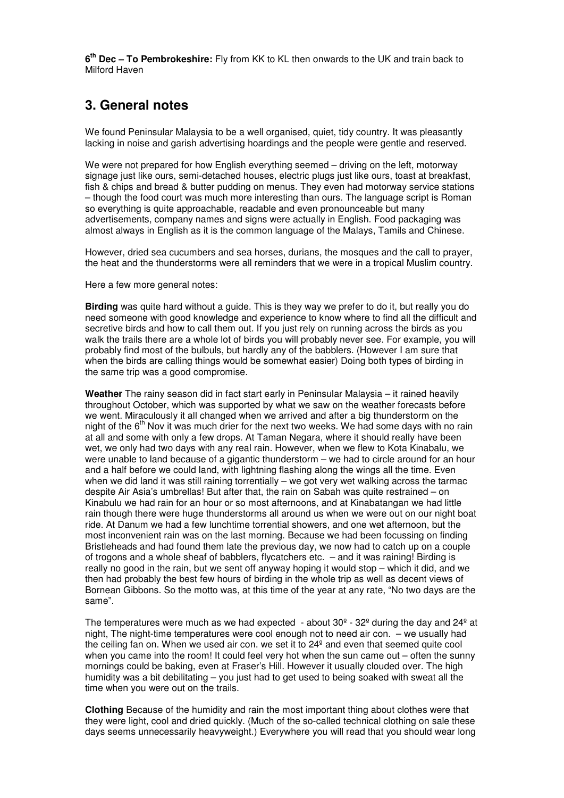**6 th Dec – To Pembrokeshire:** Fly from KK to KL then onwards to the UK and train back to Milford Haven

### **3. General notes**

We found Peninsular Malaysia to be a well organised, quiet, tidy country. It was pleasantly lacking in noise and garish advertising hoardings and the people were gentle and reserved.

We were not prepared for how English everything seemed – driving on the left, motorway signage just like ours, semi-detached houses, electric plugs just like ours, toast at breakfast, fish & chips and bread & butter pudding on menus. They even had motorway service stations – though the food court was much more interesting than ours. The language script is Roman so everything is quite approachable, readable and even pronounceable but many advertisements, company names and signs were actually in English. Food packaging was almost always in English as it is the common language of the Malays, Tamils and Chinese.

However, dried sea cucumbers and sea horses, durians, the mosques and the call to prayer, the heat and the thunderstorms were all reminders that we were in a tropical Muslim country.

Here a few more general notes:

**Birding** was quite hard without a guide. This is they way we prefer to do it, but really you do need someone with good knowledge and experience to know where to find all the difficult and secretive birds and how to call them out. If you just rely on running across the birds as you walk the trails there are a whole lot of birds you will probably never see. For example, you will probably find most of the bulbuls, but hardly any of the babblers. (However I am sure that when the birds are calling things would be somewhat easier) Doing both types of birding in the same trip was a good compromise.

**Weather** The rainy season did in fact start early in Peninsular Malaysia – it rained heavily throughout October, which was supported by what we saw on the weather forecasts before we went. Miraculously it all changed when we arrived and after a big thunderstorm on the night of the  $6<sup>th</sup>$  Nov it was much drier for the next two weeks. We had some days with no rain at all and some with only a few drops. At Taman Negara, where it should really have been wet, we only had two days with any real rain. However, when we flew to Kota Kinabalu, we were unable to land because of a gigantic thunderstorm – we had to circle around for an hour and a half before we could land, with lightning flashing along the wings all the time. Even when we did land it was still raining torrentially – we got very wet walking across the tarmac despite Air Asia's umbrellas! But after that, the rain on Sabah was quite restrained – on Kinabulu we had rain for an hour or so most afternoons, and at Kinabatangan we had little rain though there were huge thunderstorms all around us when we were out on our night boat ride. At Danum we had a few lunchtime torrential showers, and one wet afternoon, but the most inconvenient rain was on the last morning. Because we had been focussing on finding Bristleheads and had found them late the previous day, we now had to catch up on a couple of trogons and a whole sheaf of babblers, flycatchers etc. – and it was raining! Birding is really no good in the rain, but we sent off anyway hoping it would stop – which it did, and we then had probably the best few hours of birding in the whole trip as well as decent views of Bornean Gibbons. So the motto was, at this time of the year at any rate, "No two days are the same".

The temperatures were much as we had expected - about  $30^{\circ}$  -  $32^{\circ}$  during the day and  $24^{\circ}$  at night, The night-time temperatures were cool enough not to need air con. – we usually had the ceiling fan on. When we used air con. we set it to 24º and even that seemed quite cool when you came into the room! It could feel very hot when the sun came out – often the sunny mornings could be baking, even at Fraser's Hill. However it usually clouded over. The high humidity was a bit debilitating – you just had to get used to being soaked with sweat all the time when you were out on the trails.

**Clothing** Because of the humidity and rain the most important thing about clothes were that they were light, cool and dried quickly. (Much of the so-called technical clothing on sale these days seems unnecessarily heavyweight.) Everywhere you will read that you should wear long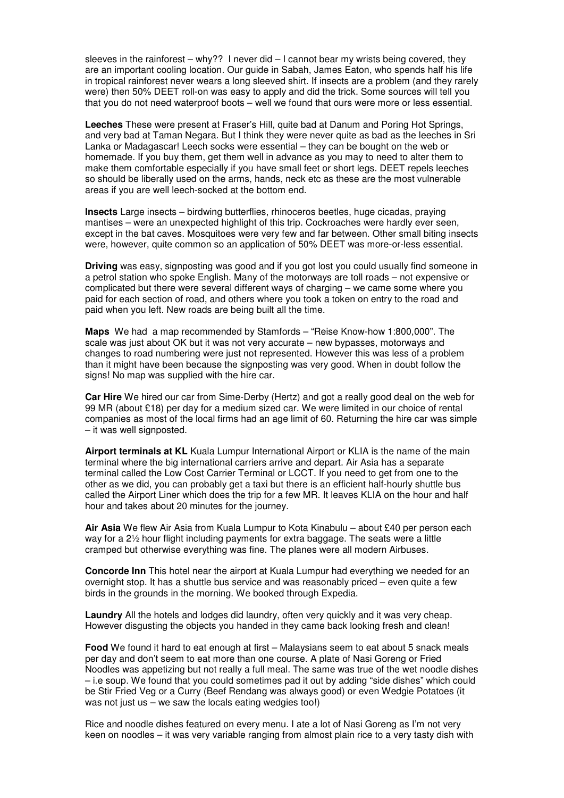sleeves in the rainforest – why?? I never did – I cannot bear my wrists being covered, they are an important cooling location. Our guide in Sabah, James Eaton, who spends half his life in tropical rainforest never wears a long sleeved shirt. If insects are a problem (and they rarely were) then 50% DEET roll-on was easy to apply and did the trick. Some sources will tell you that you do not need waterproof boots – well we found that ours were more or less essential.

**Leeches** These were present at Fraser's Hill, quite bad at Danum and Poring Hot Springs, and very bad at Taman Negara. But I think they were never quite as bad as the leeches in Sri Lanka or Madagascar! Leech socks were essential – they can be bought on the web or homemade. If you buy them, get them well in advance as you may to need to alter them to make them comfortable especially if you have small feet or short legs. DEET repels leeches so should be liberally used on the arms, hands, neck etc as these are the most vulnerable areas if you are well leech-socked at the bottom end.

**Insects** Large insects – birdwing butterflies, rhinoceros beetles, huge cicadas, praying mantises – were an unexpected highlight of this trip. Cockroaches were hardly ever seen, except in the bat caves. Mosquitoes were very few and far between. Other small biting insects were, however, quite common so an application of 50% DEET was more-or-less essential.

**Driving** was easy, signposting was good and if you got lost you could usually find someone in a petrol station who spoke English. Many of the motorways are toll roads – not expensive or complicated but there were several different ways of charging – we came some where you paid for each section of road, and others where you took a token on entry to the road and paid when you left. New roads are being built all the time.

**Maps** We had a map recommended by Stamfords – "Reise Know-how 1:800,000". The scale was just about OK but it was not very accurate – new bypasses, motorways and changes to road numbering were just not represented. However this was less of a problem than it might have been because the signposting was very good. When in doubt follow the signs! No map was supplied with the hire car.

**Car Hire** We hired our car from Sime-Derby (Hertz) and got a really good deal on the web for 99 MR (about £18) per day for a medium sized car. We were limited in our choice of rental companies as most of the local firms had an age limit of 60. Returning the hire car was simple – it was well signposted.

**Airport terminals at KL** Kuala Lumpur International Airport or KLIA is the name of the main terminal where the big international carriers arrive and depart. Air Asia has a separate terminal called the Low Cost Carrier Terminal or LCCT. If you need to get from one to the other as we did, you can probably get a taxi but there is an efficient half-hourly shuttle bus called the Airport Liner which does the trip for a few MR. It leaves KLIA on the hour and half hour and takes about 20 minutes for the journey.

**Air Asia** We flew Air Asia from Kuala Lumpur to Kota Kinabulu – about £40 per person each way for a 2½ hour flight including payments for extra baggage. The seats were a little cramped but otherwise everything was fine. The planes were all modern Airbuses.

**Concorde Inn** This hotel near the airport at Kuala Lumpur had everything we needed for an overnight stop. It has a shuttle bus service and was reasonably priced – even quite a few birds in the grounds in the morning. We booked through Expedia.

**Laundry** All the hotels and lodges did laundry, often very quickly and it was very cheap. However disgusting the objects you handed in they came back looking fresh and clean!

**Food** We found it hard to eat enough at first – Malaysians seem to eat about 5 snack meals per day and don't seem to eat more than one course. A plate of Nasi Goreng or Fried Noodles was appetizing but not really a full meal. The same was true of the wet noodle dishes – i.e soup. We found that you could sometimes pad it out by adding "side dishes" which could be Stir Fried Veg or a Curry (Beef Rendang was always good) or even Wedgie Potatoes (it was not just us – we saw the locals eating wedgies too!)

Rice and noodle dishes featured on every menu. I ate a lot of Nasi Goreng as I'm not very keen on noodles – it was very variable ranging from almost plain rice to a very tasty dish with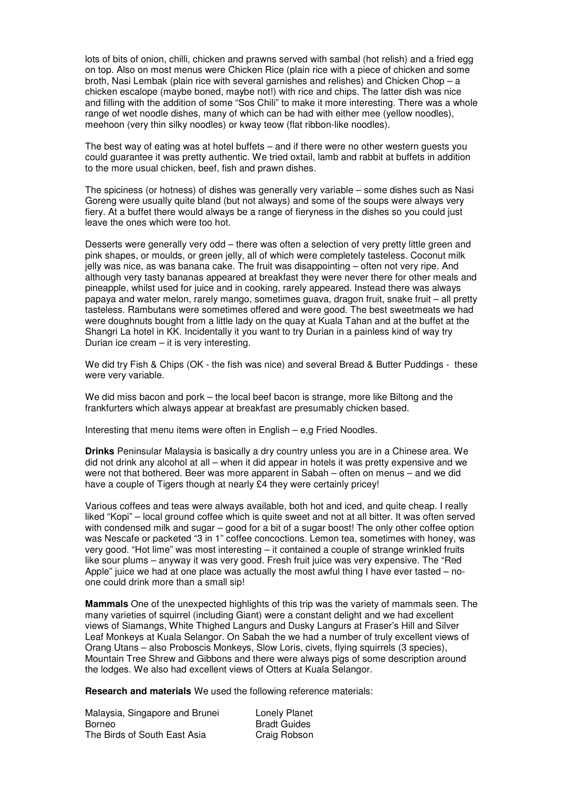lots of bits of onion, chilli, chicken and prawns served with sambal (hot relish) and a fried egg on top. Also on most menus were Chicken Rice (plain rice with a piece of chicken and some broth, Nasi Lembak (plain rice with several garnishes and relishes) and Chicken Chop – a chicken escalope (maybe boned, maybe not!) with rice and chips. The latter dish was nice and filling with the addition of some "Sos Chili" to make it more interesting. There was a whole range of wet noodle dishes, many of which can be had with either mee (yellow noodles), meehoon (very thin silky noodles) or kway teow (flat ribbon-like noodles).

The best way of eating was at hotel buffets – and if there were no other western guests you could guarantee it was pretty authentic. We tried oxtail, lamb and rabbit at buffets in addition to the more usual chicken, beef, fish and prawn dishes.

The spiciness (or hotness) of dishes was generally very variable – some dishes such as Nasi Goreng were usually quite bland (but not always) and some of the soups were always very fiery. At a buffet there would always be a range of fieryness in the dishes so you could just leave the ones which were too hot.

Desserts were generally very odd – there was often a selection of very pretty little green and pink shapes, or moulds, or green jelly, all of which were completely tasteless. Coconut milk jelly was nice, as was banana cake. The fruit was disappointing – often not very ripe. And although very tasty bananas appeared at breakfast they were never there for other meals and pineapple, whilst used for juice and in cooking, rarely appeared. Instead there was always papaya and water melon, rarely mango, sometimes guava, dragon fruit, snake fruit – all pretty tasteless. Rambutans were sometimes offered and were good. The best sweetmeats we had were doughnuts bought from a little lady on the quay at Kuala Tahan and at the buffet at the Shangri La hotel in KK. Incidentally it you want to try Durian in a painless kind of way try Durian ice cream – it is very interesting.

We did try Fish & Chips (OK - the fish was nice) and several Bread & Butter Puddings - these were very variable.

We did miss bacon and pork – the local beef bacon is strange, more like Biltong and the frankfurters which always appear at breakfast are presumably chicken based.

Interesting that menu items were often in English – e,g Fried Noodles.

**Drinks** Peninsular Malaysia is basically a dry country unless you are in a Chinese area. We did not drink any alcohol at all – when it did appear in hotels it was pretty expensive and we were not that bothered. Beer was more apparent in Sabah – often on menus – and we did have a couple of Tigers though at nearly £4 they were certainly pricey!

Various coffees and teas were always available, both hot and iced, and quite cheap. I really liked "Kopi" – local ground coffee which is quite sweet and not at all bitter. It was often served with condensed milk and sugar – good for a bit of a sugar boost! The only other coffee option was Nescafe or packeted "3 in 1" coffee concoctions. Lemon tea, sometimes with honey, was very good. "Hot lime" was most interesting – it contained a couple of strange wrinkled fruits like sour plums – anyway it was very good. Fresh fruit juice was very expensive. The "Red Apple" juice we had at one place was actually the most awful thing I have ever tasted – noone could drink more than a small sip!

**Mammals** One of the unexpected highlights of this trip was the variety of mammals seen. The many varieties of squirrel (including Giant) were a constant delight and we had excellent views of Siamangs, White Thighed Langurs and Dusky Langurs at Fraser's Hill and Silver Leaf Monkeys at Kuala Selangor. On Sabah the we had a number of truly excellent views of Orang Utans – also Proboscis Monkeys, Slow Loris, civets, flying squirrels (3 species), Mountain Tree Shrew and Gibbons and there were always pigs of some description around the lodges. We also had excellent views of Otters at Kuala Selangor.

**Research and materials** We used the following reference materials:

Malaysia, Singapore and Brunei Lonely Planet Borneo Bradt Guides The Birds of South East Asia Craig Robson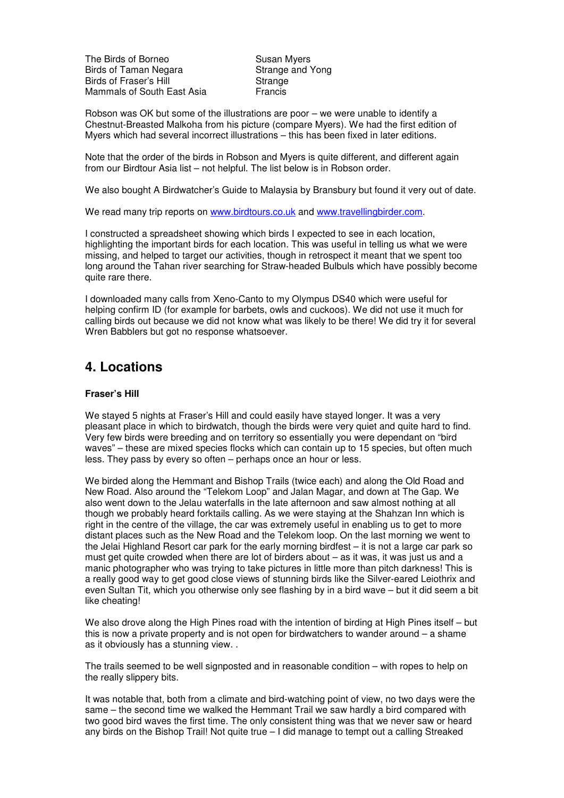The Birds of Borneo Susan Myers Birds of Taman Negara Strange and Yong Birds of Fraser's Hill Strange Mammals of South East Asia Francis

Robson was OK but some of the illustrations are poor – we were unable to identify a Chestnut-Breasted Malkoha from his picture (compare Myers). We had the first edition of Myers which had several incorrect illustrations – this has been fixed in later editions.

Note that the order of the birds in Robson and Myers is quite different, and different again from our Birdtour Asia list – not helpful. The list below is in Robson order.

We also bought A Birdwatcher's Guide to Malaysia by Bransbury but found it very out of date.

We read many trip reports on www.birdtours.co.uk and www.travellingbirder.com.

I constructed a spreadsheet showing which birds I expected to see in each location, highlighting the important birds for each location. This was useful in telling us what we were missing, and helped to target our activities, though in retrospect it meant that we spent too long around the Tahan river searching for Straw-headed Bulbuls which have possibly become quite rare there.

I downloaded many calls from Xeno-Canto to my Olympus DS40 which were useful for helping confirm ID (for example for barbets, owls and cuckoos). We did not use it much for calling birds out because we did not know what was likely to be there! We did try it for several Wren Babblers but got no response whatsoever.

### **4. Locations**

#### **Fraser's Hill**

We stayed 5 nights at Fraser's Hill and could easily have stayed longer. It was a very pleasant place in which to birdwatch, though the birds were very quiet and quite hard to find. Very few birds were breeding and on territory so essentially you were dependant on "bird waves" – these are mixed species flocks which can contain up to 15 species, but often much less. They pass by every so often – perhaps once an hour or less.

We birded along the Hemmant and Bishop Trails (twice each) and along the Old Road and New Road. Also around the "Telekom Loop" and Jalan Magar, and down at The Gap. We also went down to the Jelau waterfalls in the late afternoon and saw almost nothing at all though we probably heard forktails calling. As we were staying at the Shahzan Inn which is right in the centre of the village, the car was extremely useful in enabling us to get to more distant places such as the New Road and the Telekom loop. On the last morning we went to the Jelai Highland Resort car park for the early morning birdfest – it is not a large car park so must get quite crowded when there are lot of birders about – as it was, it was just us and a manic photographer who was trying to take pictures in little more than pitch darkness! This is a really good way to get good close views of stunning birds like the Silver-eared Leiothrix and even Sultan Tit, which you otherwise only see flashing by in a bird wave – but it did seem a bit like cheating!

We also drove along the High Pines road with the intention of birding at High Pines itself – but this is now a private property and is not open for birdwatchers to wander around – a shame as it obviously has a stunning view. .

The trails seemed to be well signposted and in reasonable condition – with ropes to help on the really slippery bits.

It was notable that, both from a climate and bird-watching point of view, no two days were the same – the second time we walked the Hemmant Trail we saw hardly a bird compared with two good bird waves the first time. The only consistent thing was that we never saw or heard any birds on the Bishop Trail! Not quite true – I did manage to tempt out a calling Streaked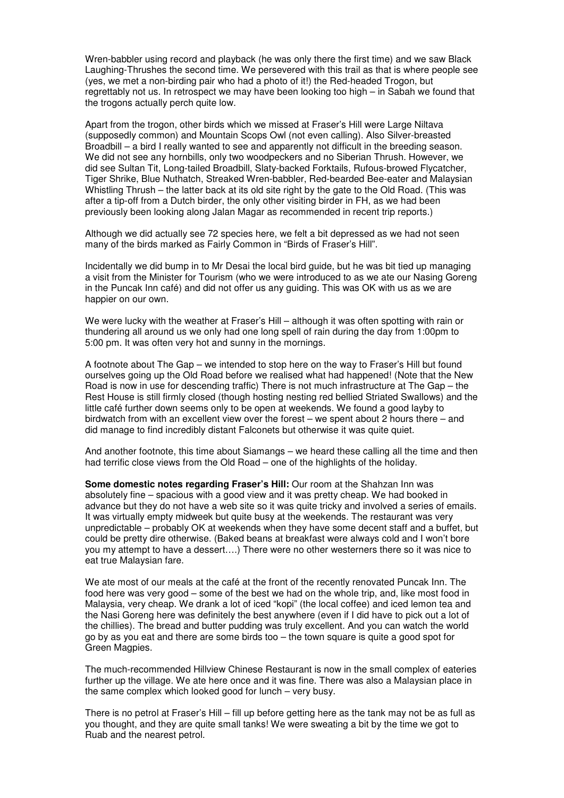Wren-babbler using record and playback (he was only there the first time) and we saw Black Laughing-Thrushes the second time. We persevered with this trail as that is where people see (yes, we met a non-birding pair who had a photo of it!) the Red-headed Trogon, but regrettably not us. In retrospect we may have been looking too high – in Sabah we found that the trogons actually perch quite low.

Apart from the trogon, other birds which we missed at Fraser's Hill were Large Niltava (supposedly common) and Mountain Scops Owl (not even calling). Also Silver-breasted Broadbill – a bird I really wanted to see and apparently not difficult in the breeding season. We did not see any hornbills, only two woodpeckers and no Siberian Thrush. However, we did see Sultan Tit, Long-tailed Broadbill, Slaty-backed Forktails, Rufous-browed Flycatcher, Tiger Shrike, Blue Nuthatch, Streaked Wren-babbler, Red-bearded Bee-eater and Malaysian Whistling Thrush – the latter back at its old site right by the gate to the Old Road. (This was after a tip-off from a Dutch birder, the only other visiting birder in FH, as we had been previously been looking along Jalan Magar as recommended in recent trip reports.)

Although we did actually see 72 species here, we felt a bit depressed as we had not seen many of the birds marked as Fairly Common in "Birds of Fraser's Hill".

Incidentally we did bump in to Mr Desai the local bird guide, but he was bit tied up managing a visit from the Minister for Tourism (who we were introduced to as we ate our Nasing Goreng in the Puncak Inn café) and did not offer us any guiding. This was OK with us as we are happier on our own.

We were lucky with the weather at Fraser's Hill – although it was often spotting with rain or thundering all around us we only had one long spell of rain during the day from 1:00pm to 5:00 pm. It was often very hot and sunny in the mornings.

A footnote about The Gap – we intended to stop here on the way to Fraser's Hill but found ourselves going up the Old Road before we realised what had happened! (Note that the New Road is now in use for descending traffic) There is not much infrastructure at The Gap – the Rest House is still firmly closed (though hosting nesting red bellied Striated Swallows) and the little café further down seems only to be open at weekends. We found a good layby to birdwatch from with an excellent view over the forest – we spent about 2 hours there – and did manage to find incredibly distant Falconets but otherwise it was quite quiet.

And another footnote, this time about Siamangs – we heard these calling all the time and then had terrific close views from the Old Road – one of the highlights of the holiday.

**Some domestic notes regarding Fraser's Hill:** Our room at the Shahzan Inn was absolutely fine – spacious with a good view and it was pretty cheap. We had booked in advance but they do not have a web site so it was quite tricky and involved a series of emails. It was virtually empty midweek but quite busy at the weekends. The restaurant was very unpredictable – probably OK at weekends when they have some decent staff and a buffet, but could be pretty dire otherwise. (Baked beans at breakfast were always cold and I won't bore you my attempt to have a dessert….) There were no other westerners there so it was nice to eat true Malaysian fare.

We ate most of our meals at the café at the front of the recently renovated Puncak Inn. The food here was very good – some of the best we had on the whole trip, and, like most food in Malaysia, very cheap. We drank a lot of iced "kopi" (the local coffee) and iced lemon tea and the Nasi Goreng here was definitely the best anywhere (even if I did have to pick out a lot of the chillies). The bread and butter pudding was truly excellent. And you can watch the world go by as you eat and there are some birds too – the town square is quite a good spot for Green Magpies.

The much-recommended Hillview Chinese Restaurant is now in the small complex of eateries further up the village. We ate here once and it was fine. There was also a Malaysian place in the same complex which looked good for lunch – very busy.

There is no petrol at Fraser's Hill – fill up before getting here as the tank may not be as full as you thought, and they are quite small tanks! We were sweating a bit by the time we got to Ruab and the nearest petrol.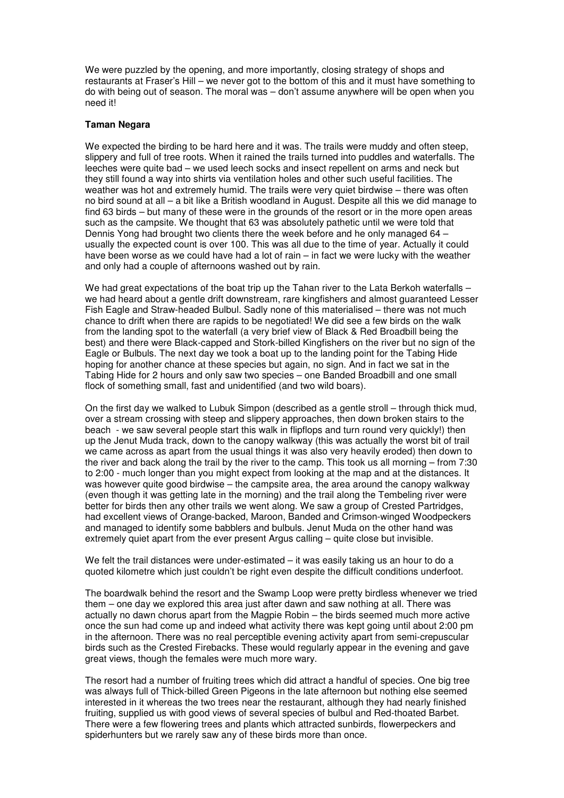We were puzzled by the opening, and more importantly, closing strategy of shops and restaurants at Fraser's Hill – we never got to the bottom of this and it must have something to do with being out of season. The moral was – don't assume anywhere will be open when you need it!

#### **Taman Negara**

We expected the birding to be hard here and it was. The trails were muddy and often steep, slippery and full of tree roots. When it rained the trails turned into puddles and waterfalls. The leeches were quite bad – we used leech socks and insect repellent on arms and neck but they still found a way into shirts via ventilation holes and other such useful facilities. The weather was hot and extremely humid. The trails were very quiet birdwise – there was often no bird sound at all – a bit like a British woodland in August. Despite all this we did manage to find 63 birds – but many of these were in the grounds of the resort or in the more open areas such as the campsite. We thought that 63 was absolutely pathetic until we were told that Dennis Yong had brought two clients there the week before and he only managed 64 – usually the expected count is over 100. This was all due to the time of year. Actually it could have been worse as we could have had a lot of rain – in fact we were lucky with the weather and only had a couple of afternoons washed out by rain.

We had great expectations of the boat trip up the Tahan river to the Lata Berkoh waterfalls – we had heard about a gentle drift downstream, rare kingfishers and almost guaranteed Lesser Fish Eagle and Straw-headed Bulbul. Sadly none of this materialised – there was not much chance to drift when there are rapids to be negotiated! We did see a few birds on the walk from the landing spot to the waterfall (a very brief view of Black & Red Broadbill being the best) and there were Black-capped and Stork-billed Kingfishers on the river but no sign of the Eagle or Bulbuls. The next day we took a boat up to the landing point for the Tabing Hide hoping for another chance at these species but again, no sign. And in fact we sat in the Tabing Hide for 2 hours and only saw two species – one Banded Broadbill and one small flock of something small, fast and unidentified (and two wild boars).

On the first day we walked to Lubuk Simpon (described as a gentle stroll – through thick mud, over a stream crossing with steep and slippery approaches, then down broken stairs to the beach - we saw several people start this walk in flipflops and turn round very quickly!) then up the Jenut Muda track, down to the canopy walkway (this was actually the worst bit of trail we came across as apart from the usual things it was also very heavily eroded) then down to the river and back along the trail by the river to the camp. This took us all morning – from 7:30 to 2:00 - much longer than you might expect from looking at the map and at the distances. It was however quite good birdwise – the campsite area, the area around the canopy walkway (even though it was getting late in the morning) and the trail along the Tembeling river were better for birds then any other trails we went along. We saw a group of Crested Partridges, had excellent views of Orange-backed, Maroon, Banded and Crimson-winged Woodpeckers and managed to identify some babblers and bulbuls. Jenut Muda on the other hand was extremely quiet apart from the ever present Argus calling – quite close but invisible.

We felt the trail distances were under-estimated  $-$  it was easily taking us an hour to do a quoted kilometre which just couldn't be right even despite the difficult conditions underfoot.

The boardwalk behind the resort and the Swamp Loop were pretty birdless whenever we tried them – one day we explored this area just after dawn and saw nothing at all. There was actually no dawn chorus apart from the Magpie Robin – the birds seemed much more active once the sun had come up and indeed what activity there was kept going until about 2:00 pm in the afternoon. There was no real perceptible evening activity apart from semi-crepuscular birds such as the Crested Firebacks. These would regularly appear in the evening and gave great views, though the females were much more wary.

The resort had a number of fruiting trees which did attract a handful of species. One big tree was always full of Thick-billed Green Pigeons in the late afternoon but nothing else seemed interested in it whereas the two trees near the restaurant, although they had nearly finished fruiting, supplied us with good views of several species of bulbul and Red-thoated Barbet. There were a few flowering trees and plants which attracted sunbirds, flowerpeckers and spiderhunters but we rarely saw any of these birds more than once.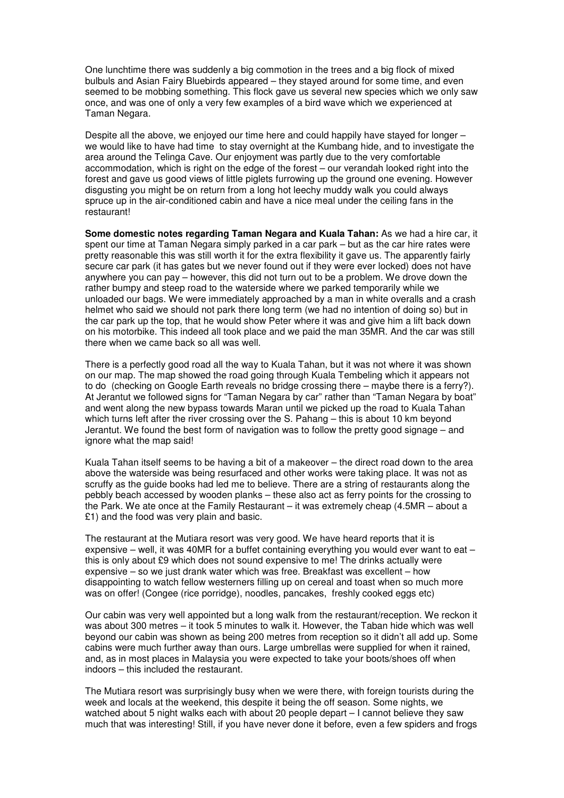One lunchtime there was suddenly a big commotion in the trees and a big flock of mixed bulbuls and Asian Fairy Bluebirds appeared – they stayed around for some time, and even seemed to be mobbing something. This flock gave us several new species which we only saw once, and was one of only a very few examples of a bird wave which we experienced at Taman Negara.

Despite all the above, we enjoyed our time here and could happily have stayed for longer – we would like to have had time to stay overnight at the Kumbang hide, and to investigate the area around the Telinga Cave. Our enjoyment was partly due to the very comfortable accommodation, which is right on the edge of the forest – our verandah looked right into the forest and gave us good views of little piglets furrowing up the ground one evening. However disgusting you might be on return from a long hot leechy muddy walk you could always spruce up in the air-conditioned cabin and have a nice meal under the ceiling fans in the restaurant!

**Some domestic notes regarding Taman Negara and Kuala Tahan:** As we had a hire car, it spent our time at Taman Negara simply parked in a car park – but as the car hire rates were pretty reasonable this was still worth it for the extra flexibility it gave us. The apparently fairly secure car park (it has gates but we never found out if they were ever locked) does not have anywhere you can pay – however, this did not turn out to be a problem. We drove down the rather bumpy and steep road to the waterside where we parked temporarily while we unloaded our bags. We were immediately approached by a man in white overalls and a crash helmet who said we should not park there long term (we had no intention of doing so) but in the car park up the top, that he would show Peter where it was and give him a lift back down on his motorbike. This indeed all took place and we paid the man 35MR. And the car was still there when we came back so all was well.

There is a perfectly good road all the way to Kuala Tahan, but it was not where it was shown on our map. The map showed the road going through Kuala Tembeling which it appears not to do (checking on Google Earth reveals no bridge crossing there – maybe there is a ferry?). At Jerantut we followed signs for "Taman Negara by car" rather than "Taman Negara by boat" and went along the new bypass towards Maran until we picked up the road to Kuala Tahan which turns left after the river crossing over the S. Pahang – this is about 10 km beyond Jerantut. We found the best form of navigation was to follow the pretty good signage – and ignore what the map said!

Kuala Tahan itself seems to be having a bit of a makeover – the direct road down to the area above the waterside was being resurfaced and other works were taking place. It was not as scruffy as the guide books had led me to believe. There are a string of restaurants along the pebbly beach accessed by wooden planks – these also act as ferry points for the crossing to the Park. We ate once at the Family Restaurant – it was extremely cheap (4.5MR – about a £1) and the food was very plain and basic.

The restaurant at the Mutiara resort was very good. We have heard reports that it is expensive – well, it was 40MR for a buffet containing everything you would ever want to eat – this is only about £9 which does not sound expensive to me! The drinks actually were expensive – so we just drank water which was free. Breakfast was excellent – how disappointing to watch fellow westerners filling up on cereal and toast when so much more was on offer! (Congee (rice porridge), noodles, pancakes, freshly cooked eggs etc)

Our cabin was very well appointed but a long walk from the restaurant/reception. We reckon it was about 300 metres – it took 5 minutes to walk it. However, the Taban hide which was well beyond our cabin was shown as being 200 metres from reception so it didn't all add up. Some cabins were much further away than ours. Large umbrellas were supplied for when it rained, and, as in most places in Malaysia you were expected to take your boots/shoes off when indoors – this included the restaurant.

The Mutiara resort was surprisingly busy when we were there, with foreign tourists during the week and locals at the weekend, this despite it being the off season. Some nights, we watched about 5 night walks each with about 20 people depart – I cannot believe they saw much that was interesting! Still, if you have never done it before, even a few spiders and frogs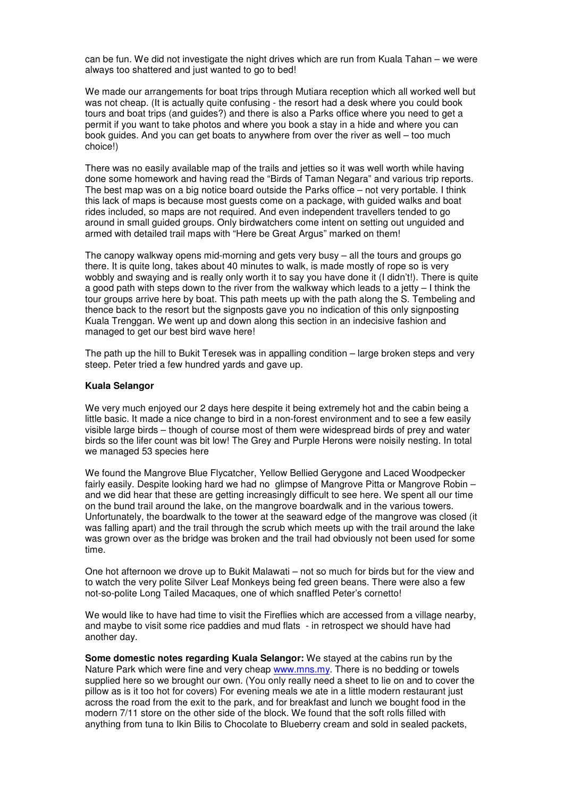can be fun. We did not investigate the night drives which are run from Kuala Tahan – we were always too shattered and just wanted to go to bed!

We made our arrangements for boat trips through Mutiara reception which all worked well but was not cheap. (It is actually quite confusing - the resort had a desk where you could book tours and boat trips (and guides?) and there is also a Parks office where you need to get a permit if you want to take photos and where you book a stay in a hide and where you can book guides. And you can get boats to anywhere from over the river as well – too much choice!)

There was no easily available map of the trails and jetties so it was well worth while having done some homework and having read the "Birds of Taman Negara" and various trip reports. The best map was on a big notice board outside the Parks office – not very portable. I think this lack of maps is because most guests come on a package, with guided walks and boat rides included, so maps are not required. And even independent travellers tended to go around in small guided groups. Only birdwatchers come intent on setting out unguided and armed with detailed trail maps with "Here be Great Argus" marked on them!

The canopy walkway opens mid-morning and gets very busy – all the tours and groups go there. It is quite long, takes about 40 minutes to walk, is made mostly of rope so is very wobbly and swaying and is really only worth it to say you have done it (I didn't!). There is quite a good path with steps down to the river from the walkway which leads to a jetty – I think the tour groups arrive here by boat. This path meets up with the path along the S. Tembeling and thence back to the resort but the signposts gave you no indication of this only signposting Kuala Trenggan. We went up and down along this section in an indecisive fashion and managed to get our best bird wave here!

The path up the hill to Bukit Teresek was in appalling condition – large broken steps and very steep. Peter tried a few hundred yards and gave up.

#### **Kuala Selangor**

We very much enjoyed our 2 days here despite it being extremely hot and the cabin being a little basic. It made a nice change to bird in a non-forest environment and to see a few easily visible large birds – though of course most of them were widespread birds of prey and water birds so the lifer count was bit low! The Grey and Purple Herons were noisily nesting. In total we managed 53 species here

We found the Mangrove Blue Flycatcher, Yellow Bellied Gerygone and Laced Woodpecker fairly easily. Despite looking hard we had no glimpse of Mangrove Pitta or Mangrove Robin – and we did hear that these are getting increasingly difficult to see here. We spent all our time on the bund trail around the lake, on the mangrove boardwalk and in the various towers. Unfortunately, the boardwalk to the tower at the seaward edge of the mangrove was closed (it was falling apart) and the trail through the scrub which meets up with the trail around the lake was grown over as the bridge was broken and the trail had obviously not been used for some time.

One hot afternoon we drove up to Bukit Malawati – not so much for birds but for the view and to watch the very polite Silver Leaf Monkeys being fed green beans. There were also a few not-so-polite Long Tailed Macaques, one of which snaffled Peter's cornetto!

We would like to have had time to visit the Fireflies which are accessed from a village nearby, and maybe to visit some rice paddies and mud flats - in retrospect we should have had another day.

**Some domestic notes regarding Kuala Selangor:** We stayed at the cabins run by the Nature Park which were fine and very cheap www.mns.my. There is no bedding or towels supplied here so we brought our own. (You only really need a sheet to lie on and to cover the pillow as is it too hot for covers) For evening meals we ate in a little modern restaurant just across the road from the exit to the park, and for breakfast and lunch we bought food in the modern 7/11 store on the other side of the block. We found that the soft rolls filled with anything from tuna to Ikin Bilis to Chocolate to Blueberry cream and sold in sealed packets,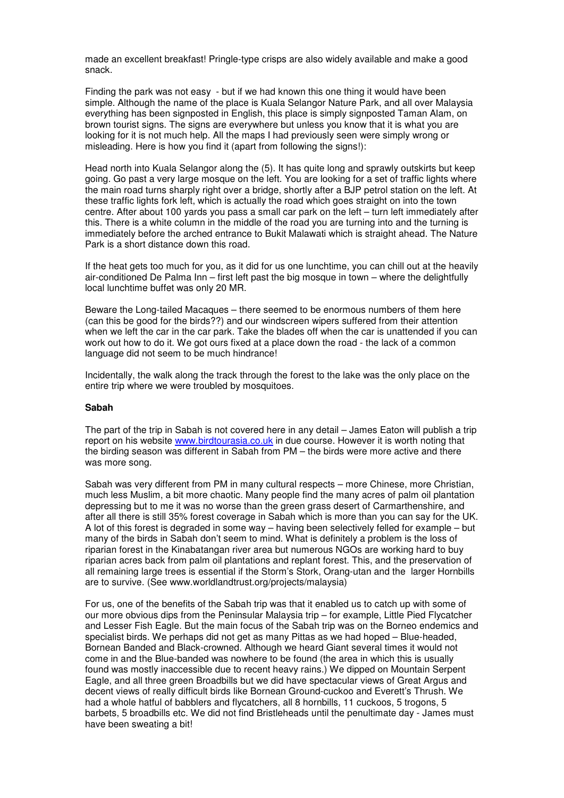made an excellent breakfast! Pringle-type crisps are also widely available and make a good snack.

Finding the park was not easy - but if we had known this one thing it would have been simple. Although the name of the place is Kuala Selangor Nature Park, and all over Malaysia everything has been signposted in English, this place is simply signposted Taman Alam, on brown tourist signs. The signs are everywhere but unless you know that it is what you are looking for it is not much help. All the maps I had previously seen were simply wrong or misleading. Here is how you find it (apart from following the signs!):

Head north into Kuala Selangor along the (5). It has quite long and sprawly outskirts but keep going. Go past a very large mosque on the left. You are looking for a set of traffic lights where the main road turns sharply right over a bridge, shortly after a BJP petrol station on the left. At these traffic lights fork left, which is actually the road which goes straight on into the town centre. After about 100 yards you pass a small car park on the left – turn left immediately after this. There is a white column in the middle of the road you are turning into and the turning is immediately before the arched entrance to Bukit Malawati which is straight ahead. The Nature Park is a short distance down this road.

If the heat gets too much for you, as it did for us one lunchtime, you can chill out at the heavily air-conditioned De Palma Inn – first left past the big mosque in town – where the delightfully local lunchtime buffet was only 20 MR.

Beware the Long-tailed Macaques – there seemed to be enormous numbers of them here (can this be good for the birds??) and our windscreen wipers suffered from their attention when we left the car in the car park. Take the blades off when the car is unattended if you can work out how to do it. We got ours fixed at a place down the road - the lack of a common language did not seem to be much hindrance!

Incidentally, the walk along the track through the forest to the lake was the only place on the entire trip where we were troubled by mosquitoes.

#### **Sabah**

The part of the trip in Sabah is not covered here in any detail – James Eaton will publish a trip report on his website www.birdtourasia.co.uk in due course. However it is worth noting that the birding season was different in Sabah from PM – the birds were more active and there was more song.

Sabah was very different from PM in many cultural respects – more Chinese, more Christian, much less Muslim, a bit more chaotic. Many people find the many acres of palm oil plantation depressing but to me it was no worse than the green grass desert of Carmarthenshire, and after all there is still 35% forest coverage in Sabah which is more than you can say for the UK. A lot of this forest is degraded in some way – having been selectively felled for example – but many of the birds in Sabah don't seem to mind. What is definitely a problem is the loss of riparian forest in the Kinabatangan river area but numerous NGOs are working hard to buy riparian acres back from palm oil plantations and replant forest. This, and the preservation of all remaining large trees is essential if the Storm's Stork, Orang-utan and the larger Hornbills are to survive. (See www.worldlandtrust.org/projects/malaysia)

For us, one of the benefits of the Sabah trip was that it enabled us to catch up with some of our more obvious dips from the Peninsular Malaysia trip – for example, Little Pied Flycatcher and Lesser Fish Eagle. But the main focus of the Sabah trip was on the Borneo endemics and specialist birds. We perhaps did not get as many Pittas as we had hoped – Blue-headed, Bornean Banded and Black-crowned. Although we heard Giant several times it would not come in and the Blue-banded was nowhere to be found (the area in which this is usually found was mostly inaccessible due to recent heavy rains.) We dipped on Mountain Serpent Eagle, and all three green Broadbills but we did have spectacular views of Great Argus and decent views of really difficult birds like Bornean Ground-cuckoo and Everett's Thrush. We had a whole hatful of babblers and flycatchers, all 8 hornbills, 11 cuckoos, 5 trogons, 5 barbets, 5 broadbills etc. We did not find Bristleheads until the penultimate day - James must have been sweating a bit!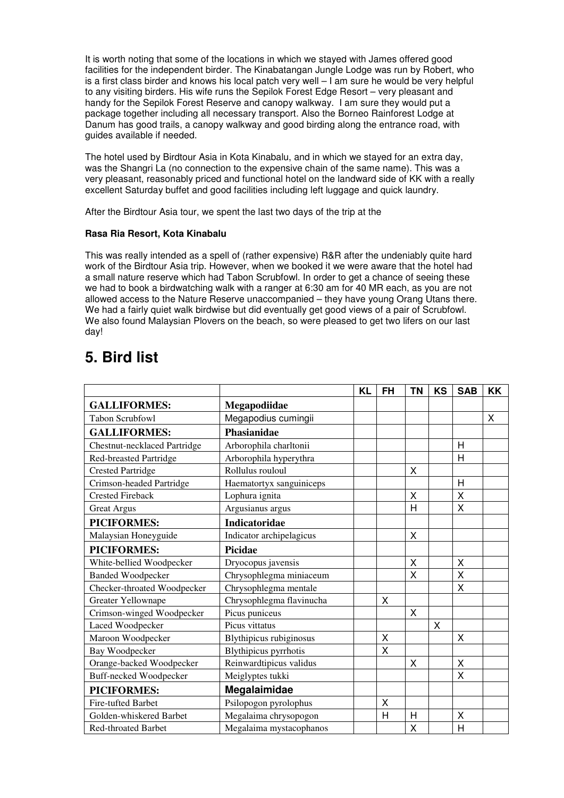It is worth noting that some of the locations in which we stayed with James offered good facilities for the independent birder. The Kinabatangan Jungle Lodge was run by Robert, who is a first class birder and knows his local patch very well – I am sure he would be very helpful to any visiting birders. His wife runs the Sepilok Forest Edge Resort – very pleasant and handy for the Sepilok Forest Reserve and canopy walkway. I am sure they would put a package together including all necessary transport. Also the Borneo Rainforest Lodge at Danum has good trails, a canopy walkway and good birding along the entrance road, with guides available if needed.

The hotel used by Birdtour Asia in Kota Kinabalu, and in which we stayed for an extra day, was the Shangri La (no connection to the expensive chain of the same name). This was a very pleasant, reasonably priced and functional hotel on the landward side of KK with a really excellent Saturday buffet and good facilities including left luggage and quick laundry.

After the Birdtour Asia tour, we spent the last two days of the trip at the

#### **Rasa Ria Resort, Kota Kinabalu**

This was really intended as a spell of (rather expensive) R&R after the undeniably quite hard work of the Birdtour Asia trip. However, when we booked it we were aware that the hotel had a small nature reserve which had Tabon Scrubfowl. In order to get a chance of seeing these we had to book a birdwatching walk with a ranger at 6:30 am for 40 MR each, as you are not allowed access to the Nature Reserve unaccompanied – they have young Orang Utans there. We had a fairly quiet walk birdwise but did eventually get good views of a pair of Scrubfowl. We also found Malaysian Plovers on the beach, so were pleased to get two lifers on our last day!

# **5. Bird list**

|                                     |                          | <b>KL</b> | <b>FH</b> | <b>TN</b> | <b>KS</b> | <b>SAB</b> | <b>KK</b> |
|-------------------------------------|--------------------------|-----------|-----------|-----------|-----------|------------|-----------|
| <b>GALLIFORMES:</b>                 | Megapodiidae             |           |           |           |           |            |           |
| <b>Tabon Scrubfowl</b>              | Megapodius cumingii      |           |           |           |           |            | X         |
| <b>GALLIFORMES:</b>                 | Phasianidae              |           |           |           |           |            |           |
| <b>Chestnut-necklaced Partridge</b> | Arborophila charltonii   |           |           |           |           | H          |           |
| <b>Red-breasted Partridge</b>       | Arborophila hyperythra   |           |           |           |           | H          |           |
| <b>Crested Partridge</b>            | Rollulus rouloul         |           |           | X         |           |            |           |
| Crimson-headed Partridge            | Haematortyx sanguiniceps |           |           |           |           | H          |           |
| <b>Crested Fireback</b>             | Lophura ignita           |           |           | X         |           | X          |           |
| <b>Great Argus</b>                  | Argusianus argus         |           |           | Н         |           | X          |           |
| <b>PICIFORMES:</b>                  | <b>Indicatoridae</b>     |           |           |           |           |            |           |
| Malaysian Honeyguide                | Indicator archipelagicus |           |           | X         |           |            |           |
| <b>PICIFORMES:</b>                  | <b>Picidae</b>           |           |           |           |           |            |           |
| White-bellied Woodpecker            | Dryocopus javensis       |           |           | Χ         |           | X          |           |
| <b>Banded Woodpecker</b>            | Chrysophlegma miniaceum  |           |           | X         |           | X          |           |
| Checker-throated Woodpecker         | Chrysophlegma mentale    |           |           |           |           | X          |           |
| <b>Greater Yellownape</b>           | Chrysophlegma flavinucha |           | X         |           |           |            |           |
| Crimson-winged Woodpecker           | Picus puniceus           |           |           | X         |           |            |           |
| Laced Woodpecker                    | Picus vittatus           |           |           |           | X         |            |           |
| Maroon Woodpecker                   | Blythipicus rubiginosus  |           | Χ         |           |           | X          |           |
| Bay Woodpecker                      | Blythipicus pyrrhotis    |           | X         |           |           |            |           |
| Orange-backed Woodpecker            | Reinwardtipicus validus  |           |           | X         |           | X          |           |
| <b>Buff-necked Woodpecker</b>       | Meiglyptes tukki         |           |           |           |           | X          |           |
| <b>PICIFORMES:</b>                  | Megalaimidae             |           |           |           |           |            |           |
| Fire-tufted Barbet                  | Psilopogon pyrolophus    |           | X         |           |           |            |           |
| Golden-whiskered Barbet             | Megalaima chrysopogon    |           | H         | H         |           | X          |           |
| <b>Red-throated Barbet</b>          | Megalaima mystacophanos  |           |           | Χ         |           | H          |           |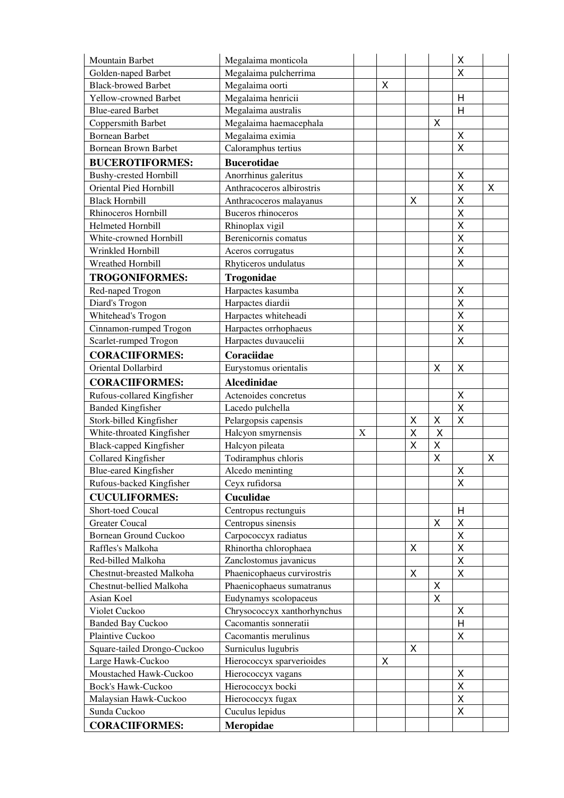| Mountain Barbet                                              | Megalaima monticola         |   |   |                         |        | Χ                  |   |
|--------------------------------------------------------------|-----------------------------|---|---|-------------------------|--------|--------------------|---|
| Golden-naped Barbet                                          | Megalaima pulcherrima       |   |   |                         |        | X                  |   |
| <b>Black-browed Barbet</b>                                   | Megalaima oorti             |   | X |                         |        |                    |   |
| Yellow-crowned Barbet                                        | Megalaima henricii          |   |   |                         |        | $\mathsf{H}$       |   |
| <b>Blue-eared Barbet</b>                                     | Megalaima australis         |   |   |                         |        | H                  |   |
| Coppersmith Barbet                                           | Megalaima haemacephala      |   |   |                         | Χ      |                    |   |
| <b>Bornean Barbet</b>                                        | Megalaima eximia            |   |   |                         |        | $\mathsf X$        |   |
| <b>Bornean Brown Barbet</b>                                  | Caloramphus tertius         |   |   |                         |        | $\pmb{\mathsf{X}}$ |   |
| <b>BUCEROTIFORMES:</b>                                       | <b>Bucerotidae</b>          |   |   |                         |        |                    |   |
| <b>Bushy-crested Hornbill</b>                                | Anorrhinus galeritus        |   |   |                         |        | X                  |   |
| Oriental Pied Hornbill                                       | Anthracoceros albirostris   |   |   |                         |        | $\pmb{\mathsf{X}}$ | X |
| <b>Black Hornbill</b>                                        | Anthracoceros malayanus     |   |   | X                       |        | $\mathsf{X}$       |   |
| Rhinoceros Hornbill                                          | Buceros rhinoceros          |   |   |                         |        | $\sf X$            |   |
| Helmeted Hornbill                                            | Rhinoplax vigil             |   |   |                         |        | $\pmb{\mathsf{X}}$ |   |
| White-crowned Hornbill                                       | Berenicornis comatus        |   |   |                         |        | $\sf X$            |   |
| Wrinkled Hornbill                                            | Aceros corrugatus           |   |   |                         |        | $\pmb{\mathsf{X}}$ |   |
| Wreathed Hornbill                                            | Rhyticeros undulatus        |   |   |                         |        | $\sf X$            |   |
| <b>TROGONIFORMES:</b>                                        | Trogonidae                  |   |   |                         |        |                    |   |
| Red-naped Trogon                                             | Harpactes kasumba           |   |   |                         |        | $\pmb{\mathsf{X}}$ |   |
| Diard's Trogon                                               | Harpactes diardii           |   |   |                         |        | $\sf X$            |   |
| Whitehead's Trogon                                           | Harpactes whiteheadi        |   |   |                         |        | $\mathsf{X}$       |   |
| Cinnamon-rumped Trogon                                       | Harpactes orrhophaeus       |   |   |                         |        | $\pmb{\mathsf{X}}$ |   |
| Scarlet-rumped Trogon                                        | Harpactes duvaucelii        |   |   |                         |        | X                  |   |
| <b>CORACIIFORMES:</b>                                        | Coraciidae                  |   |   |                         |        |                    |   |
| Oriental Dollarbird                                          | Eurystomus orientalis       |   |   |                         | Χ      | $\mathsf X$        |   |
|                                                              |                             |   |   |                         |        |                    |   |
| <b>CORACIIFORMES:</b>                                        | <b>Alcedinidae</b>          |   |   |                         |        |                    |   |
| Rufous-collared Kingfisher                                   | Actenoides concretus        |   |   |                         |        | X                  |   |
| <b>Banded Kingfisher</b>                                     | Lacedo pulchella            |   |   |                         |        | $\sf X$            |   |
| Stork-billed Kingfisher                                      | Pelargopsis capensis        |   |   | Χ<br>X                  | Χ<br>X | X                  |   |
| White-throated Kingfisher                                    | Halcyon smyrnensis          | X |   | $\overline{\mathsf{X}}$ | X      |                    |   |
| <b>Black-capped Kingfisher</b><br><b>Collared Kingfisher</b> | Halcyon pileata             |   |   |                         |        |                    |   |
|                                                              | Todiramphus chloris         |   |   |                         | X      |                    | X |
| <b>Blue-eared Kingfisher</b>                                 | Alcedo meninting            |   |   |                         |        | X                  |   |
| Rufous-backed Kingfisher                                     | Ceyx rufidorsa              |   |   |                         |        | X                  |   |
| <b>CUCULIFORMES:</b>                                         | Cuculidae                   |   |   |                         |        |                    |   |
| Short-toed Coucal                                            | Centropus rectunguis        |   |   |                         |        | H                  |   |
| <b>Greater Coucal</b>                                        | Centropus sinensis          |   |   |                         | Χ      | $\mathsf X$        |   |
| <b>Bornean Ground Cuckoo</b>                                 | Carpococcyx radiatus        |   |   |                         |        | $\mathsf X$        |   |
| Raffles's Malkoha                                            | Rhinortha chlorophaea       |   |   | X                       |        | $\mathsf{X}$       |   |
| Red-billed Malkoha                                           | Zanclostomus javanicus      |   |   |                         |        | $\mathsf X$        |   |
| Chestnut-breasted Malkoha                                    | Phaenicophaeus curvirostris |   |   | X                       |        | X                  |   |
| Chestnut-bellied Malkoha                                     | Phaenicophaeus sumatranus   |   |   |                         | X      |                    |   |
| Asian Koel                                                   | Eudynamys scolopaceus       |   |   |                         | X      |                    |   |
| Violet Cuckoo                                                | Chrysococcyx xanthorhynchus |   |   |                         |        | X                  |   |
| <b>Banded Bay Cuckoo</b>                                     | Cacomantis sonneratii       |   |   |                         |        | H                  |   |
| Plaintive Cuckoo                                             | Cacomantis merulinus        |   |   |                         |        | X                  |   |
| Square-tailed Drongo-Cuckoo                                  | Surniculus lugubris         |   |   | X                       |        |                    |   |
| Large Hawk-Cuckoo                                            | Hierococcyx sparverioides   |   | X |                         |        |                    |   |
| Moustached Hawk-Cuckoo                                       | Hierococcyx vagans          |   |   |                         |        | X                  |   |
| <b>Bock's Hawk-Cuckoo</b>                                    | Hierococcyx bocki           |   |   |                         |        | $\mathsf X$        |   |
| Malaysian Hawk-Cuckoo                                        | Hierococcyx fugax           |   |   |                         |        | $\mathsf{X}$       |   |
| Sunda Cuckoo                                                 | Cuculus lepidus             |   |   |                         |        | X                  |   |
| <b>CORACIIFORMES:</b>                                        | Meropidae                   |   |   |                         |        |                    |   |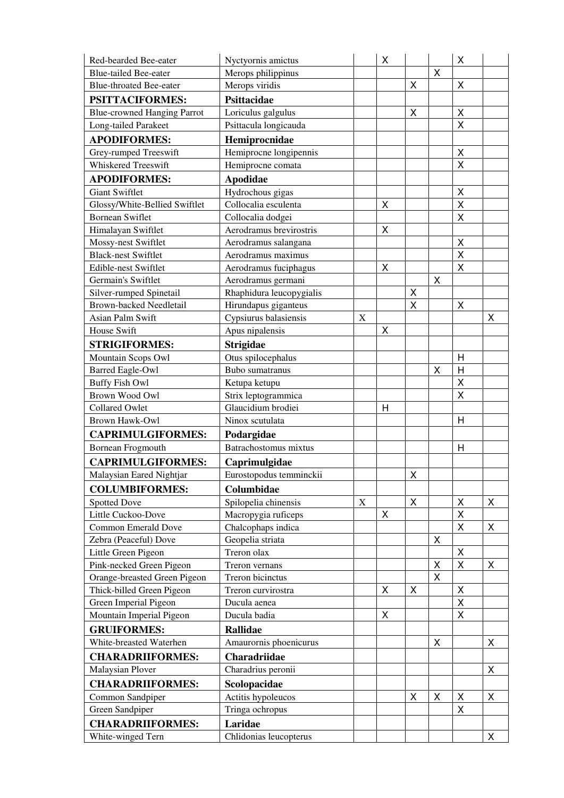| Red-bearded Bee-eater                            | Nyctyornis amictus                    |             | X           |             |                | $\mathsf X$             |                |
|--------------------------------------------------|---------------------------------------|-------------|-------------|-------------|----------------|-------------------------|----------------|
| <b>Blue-tailed Bee-eater</b>                     | Merops philippinus                    |             |             |             | Χ              |                         |                |
| <b>Blue-throated Bee-eater</b>                   | Merops viridis                        |             |             | X           |                | X                       |                |
| PSITTACIFORMES:                                  | Psittacidae                           |             |             |             |                |                         |                |
| <b>Blue-crowned Hanging Parrot</b>               | Loriculus galgulus                    |             |             | $\mathsf X$ |                | $\pmb{\times}$          |                |
| Long-tailed Parakeet                             | Psittacula longicauda                 |             |             |             |                | X                       |                |
| <b>APODIFORMES:</b>                              | Hemiprocnidae                         |             |             |             |                |                         |                |
| Grey-rumped Treeswift                            | Hemiprocne longipennis                |             |             |             |                | $\pmb{\times}$          |                |
| Whiskered Treeswift                              | Hemiprocne comata                     |             |             |             |                | X                       |                |
| <b>APODIFORMES:</b>                              | <b>Apodidae</b>                       |             |             |             |                |                         |                |
| <b>Giant Swiftlet</b>                            | Hydrochous gigas                      |             |             |             |                | $\pmb{\times}$          |                |
| Glossy/White-Bellied Swiftlet                    | Collocalia esculenta                  |             | $\mathsf X$ |             |                | $\mathsf{X}$            |                |
| <b>Bornean Swiflet</b>                           | Collocalia dodgei                     |             |             |             |                | $\sf X$                 |                |
| Himalayan Swiftlet                               | Aerodramus brevirostris               |             | Χ           |             |                |                         |                |
| Mossy-nest Swiftlet                              | Aerodramus salangana                  |             |             |             |                | $\pmb{\mathsf{X}}$      |                |
| <b>Black-nest Swiftlet</b>                       | Aerodramus maximus                    |             |             |             |                | $\pmb{\mathsf{X}}$      |                |
| Edible-nest Swiftlet                             | Aerodramus fuciphagus                 |             | X           |             |                | X                       |                |
| Germain's Swiftlet                               | Aerodramus germani                    |             |             |             | X              |                         |                |
| Silver-rumped Spinetail                          | Rhaphidura leucopygialis              |             |             | X           |                |                         |                |
| <b>Brown-backed Needletail</b>                   | Hirundapus giganteus                  |             |             | X           |                | X                       |                |
| Asian Palm Swift                                 | Cypsiurus balasiensis                 | $\mathbf X$ |             |             |                |                         | X              |
| House Swift                                      | Apus nipalensis                       |             | X           |             |                |                         |                |
| <b>STRIGIFORMES:</b>                             |                                       |             |             |             |                |                         |                |
|                                                  | <b>Strigidae</b>                      |             |             |             |                | H                       |                |
| Mountain Scops Owl                               | Otus spilocephalus<br>Bubo sumatranus |             |             |             | X              | $\overline{\mathsf{H}}$ |                |
| <b>Barred Eagle-Owl</b><br><b>Buffy Fish Owl</b> |                                       |             |             |             |                | $\mathsf{X}$            |                |
| <b>Brown Wood Owl</b>                            | Ketupa ketupu<br>Strix leptogrammica  |             |             |             |                | X                       |                |
| <b>Collared Owlet</b>                            | Glaucidium brodiei                    |             | H           |             |                |                         |                |
| <b>Brown Hawk-Owl</b>                            | Ninox scutulata                       |             |             |             |                | H                       |                |
|                                                  |                                       |             |             |             |                |                         |                |
| <b>CAPRIMULGIFORMES:</b>                         | Podargidae                            |             |             |             |                |                         |                |
|                                                  |                                       |             |             |             |                | H                       |                |
| <b>Bornean Frogmouth</b>                         | Batrachostomus mixtus                 |             |             |             |                |                         |                |
| <b>CAPRIMULGIFORMES:</b>                         | Caprimulgidae                         |             |             |             |                |                         |                |
| Malaysian Eared Nightjar                         | Eurostopodus temminckii               |             |             | X           |                |                         |                |
| <b>COLUMBIFORMES:</b>                            | Columbidae                            |             |             |             |                |                         |                |
| <b>Spotted Dove</b>                              | Spilopelia chinensis                  | $\mathbf X$ |             | X           |                | X                       | X              |
| Little Cuckoo-Dove                               | Macropygia ruficeps                   |             | X           |             |                | X                       |                |
| <b>Common Emerald Dove</b>                       | Chalcophaps indica                    |             |             |             |                | X                       | X              |
| Zebra (Peaceful) Dove                            | Geopelia striata                      |             |             |             | X              |                         |                |
| Little Green Pigeon                              | Treron olax                           |             |             |             |                | $\pmb{\times}$          |                |
| Pink-necked Green Pigeon                         | Treron vernans                        |             |             |             | Χ              | $\mathsf{X}$            | Χ              |
| Orange-breasted Green Pigeon                     | Treron bicinctus                      |             |             |             | $\sf X$        |                         |                |
| Thick-billed Green Pigeon                        | Treron curvirostra                    |             | X           | X           |                | Χ                       |                |
| Green Imperial Pigeon                            | Ducula aenea                          |             |             |             |                | X                       |                |
| Mountain Imperial Pigeon                         | Ducula badia                          |             | X           |             |                | X                       |                |
| <b>GRUIFORMES:</b>                               | <b>Rallidae</b>                       |             |             |             |                |                         |                |
| White-breasted Waterhen                          | Amaurornis phoenicurus                |             |             |             | $\pmb{\times}$ |                         | $\pmb{\times}$ |
|                                                  |                                       |             |             |             |                |                         |                |
| <b>CHARADRIIFORMES:</b>                          | Charadriidae                          |             |             |             |                |                         |                |
| Malaysian Plover                                 | Charadrius peronii                    |             |             |             |                |                         | X              |
| <b>CHARADRIIFORMES:</b>                          | Scolopacidae                          |             |             |             |                |                         |                |
| Common Sandpiper                                 | Actitis hypoleucos                    |             |             | X           | X              | X                       | X              |
| Green Sandpiper                                  | Tringa ochropus                       |             |             |             |                | $\pmb{\times}$          |                |
| <b>CHARADRIIFORMES:</b><br>White-winged Tern     | Laridae<br>Chlidonias leucopterus     |             |             |             |                |                         | X              |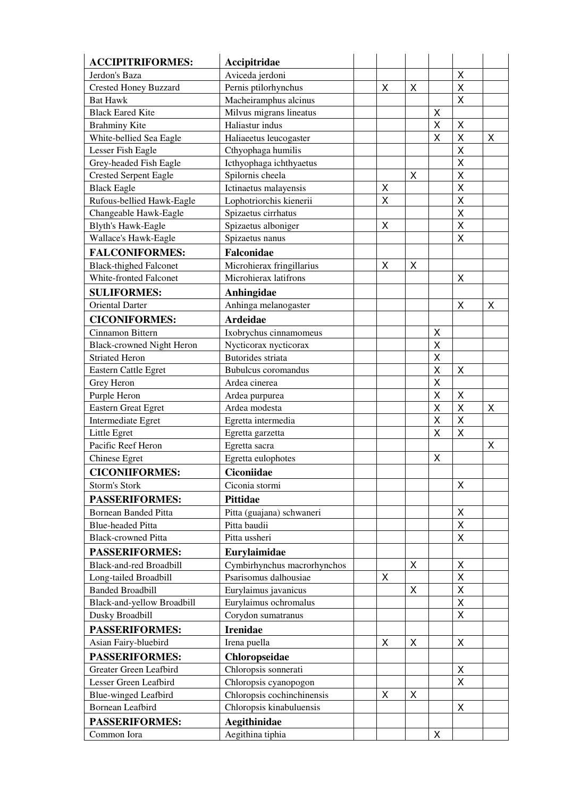| <b>ACCIPITRIFORMES:</b>                       | Accipitridae                  |                         |   |              |                         |   |
|-----------------------------------------------|-------------------------------|-------------------------|---|--------------|-------------------------|---|
| Jerdon's Baza                                 | Aviceda jerdoni               |                         |   |              | X                       |   |
| <b>Crested Honey Buzzard</b>                  | Pernis ptilorhynchus          | X                       | X |              | $\mathsf{X}$            |   |
| <b>Bat Hawk</b>                               | Macheiramphus alcinus         |                         |   |              | X                       |   |
| <b>Black Eared Kite</b>                       | Milvus migrans lineatus       |                         |   | X            |                         |   |
| <b>Brahminy Kite</b>                          | Haliastur indus               |                         |   | X            | $\mathsf{X}$            |   |
| White-bellied Sea Eagle                       | Haliaeetus leucogaster        |                         |   | X            | $\overline{\mathsf{X}}$ | Χ |
| Lesser Fish Eagle                             | Cthyophaga humilis            |                         |   |              | $\sf X$                 |   |
| Grey-headed Fish Eagle                        | Icthyophaga ichthyaetus       |                         |   |              | $\pmb{\mathsf{X}}$      |   |
| <b>Crested Serpent Eagle</b>                  | Spilornis cheela              |                         | Χ |              | $\sf X$                 |   |
| <b>Black Eagle</b>                            | Ictinaetus malayensis         | X                       |   |              | $\sf X$                 |   |
| Rufous-bellied Hawk-Eagle                     | Lophotriorchis kienerii       | $\overline{\mathsf{X}}$ |   |              | $\mathsf{X}$            |   |
| Changeable Hawk-Eagle                         | Spizaetus cirrhatus           |                         |   |              | $\sf X$                 |   |
| <b>Blyth's Hawk-Eagle</b>                     | Spizaetus alboniger           | X                       |   |              | $\pmb{\mathsf{X}}$      |   |
| Wallace's Hawk-Eagle                          | Spizaetus nanus               |                         |   |              | X                       |   |
| <b>FALCONIFORMES:</b>                         | <b>Falconidae</b>             |                         |   |              |                         |   |
| <b>Black-thighed Falconet</b>                 | Microhierax fringillarius     | X                       | Χ |              |                         |   |
| White-fronted Falconet                        | Microhierax latifrons         |                         |   |              | X                       |   |
| <b>SULIFORMES:</b>                            | Anhingidae                    |                         |   |              |                         |   |
| <b>Oriental Darter</b>                        | Anhinga melanogaster          |                         |   |              | X                       | X |
| <b>CICONIFORMES:</b>                          | <b>Ardeidae</b>               |                         |   |              |                         |   |
| Cinnamon Bittern                              | Ixobrychus cinnamomeus        |                         |   | X            |                         |   |
| <b>Black-crowned Night Heron</b>              | Nycticorax nycticorax         |                         |   | X            |                         |   |
| <b>Striated Heron</b>                         | <b>Butorides</b> striata      |                         |   | X            |                         |   |
| <b>Eastern Cattle Egret</b>                   | <b>Bubulcus</b> coromandus    |                         |   | X            | $\mathsf{X}$            |   |
| Grey Heron                                    | Ardea cinerea                 |                         |   | X            |                         |   |
| Purple Heron                                  | Ardea purpurea                |                         |   | X            | X                       |   |
| <b>Eastern Great Egret</b>                    | Ardea modesta                 |                         |   | X            | $\sf X$                 | X |
| Intermediate Egret                            | Egretta intermedia            |                         |   | $\mathsf{X}$ | $\mathsf{X}$            |   |
| Little Egret                                  | Egretta garzetta              |                         |   | X            | $\sf X$                 |   |
| Pacific Reef Heron                            | Egretta sacra                 |                         |   |              |                         | Χ |
| Chinese Egret                                 | Egretta eulophotes            |                         |   | Χ            |                         |   |
| <b>CICONIIFORMES:</b>                         | <b>Ciconiidae</b>             |                         |   |              |                         |   |
| Storm's Stork                                 | Ciconia stormi                |                         |   |              | Χ                       |   |
| <b>PASSERIFORMES:</b>                         | <b>Pittidae</b>               |                         |   |              |                         |   |
| <b>Bornean Banded Pitta</b>                   | Pitta (guajana) schwaneri     |                         |   |              | X                       |   |
| <b>Blue-headed Pitta</b>                      | Pitta baudii                  |                         |   |              | X                       |   |
| <b>Black-crowned Pitta</b>                    | Pitta ussheri                 |                         |   |              | $\mathsf X$             |   |
| <b>PASSERIFORMES:</b>                         | Eurylaimidae                  |                         |   |              |                         |   |
| <b>Black-and-red Broadbill</b>                | Cymbirhynchus macrorhynchos   |                         | X |              | X                       |   |
| Long-tailed Broadbill                         | Psarisomus dalhousiae         | X                       |   |              | X                       |   |
| <b>Banded Broadbill</b>                       | Eurylaimus javanicus          |                         | X |              | $\mathsf X$             |   |
| Black-and-yellow Broadbill                    | Eurylaimus ochromalus         |                         |   |              | $\mathsf X$             |   |
| Dusky Broadbill                               | Corydon sumatranus            |                         |   |              | X                       |   |
| <b>PASSERIFORMES:</b>                         |                               |                         |   |              |                         |   |
|                                               | <b>Irenidae</b>               |                         |   |              |                         |   |
| Asian Fairy-bluebird<br><b>PASSERIFORMES:</b> | Irena puella<br>Chloropseidae | $\mathsf X$             | X |              | X                       |   |
| Greater Green Leafbird                        | Chloropsis sonnerati          |                         |   |              |                         |   |
| Lesser Green Leafbird                         | Chloropsis cyanopogon         |                         |   |              | X<br>X                  |   |
| <b>Blue-winged Leafbird</b>                   | Chloropsis cochinchinensis    | X                       | X |              |                         |   |
| <b>Bornean Leafbird</b>                       | Chloropsis kinabuluensis      |                         |   |              | X                       |   |
| <b>PASSERIFORMES:</b>                         | Aegithinidae                  |                         |   |              |                         |   |
| Common Iora                                   | Aegithina tiphia              |                         |   | Χ            |                         |   |
|                                               |                               |                         |   |              |                         |   |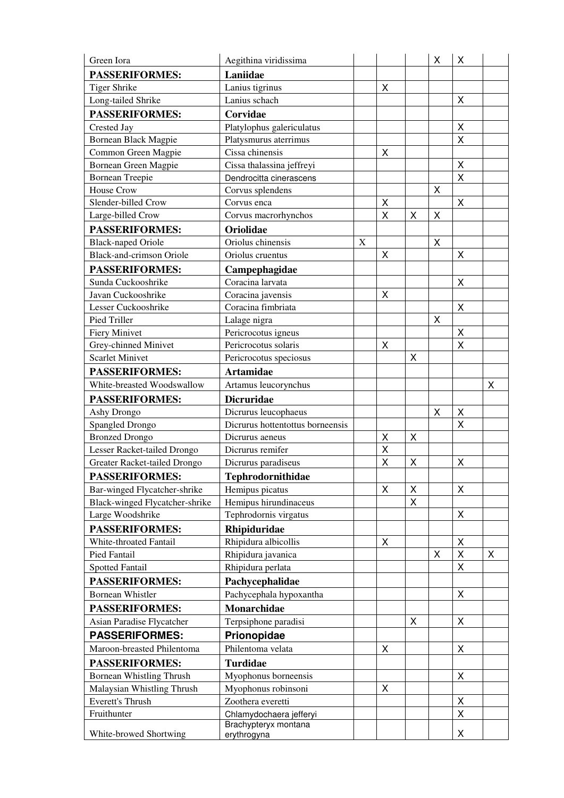| Green Iora                                             | Aegithina viridissima                       |             |                         |   | X                  | Χ                       |   |
|--------------------------------------------------------|---------------------------------------------|-------------|-------------------------|---|--------------------|-------------------------|---|
| <b>PASSERIFORMES:</b>                                  | Laniidae                                    |             |                         |   |                    |                         |   |
| <b>Tiger Shrike</b>                                    | Lanius tigrinus                             |             | X                       |   |                    |                         |   |
| Long-tailed Shrike                                     | Lanius schach                               |             |                         |   |                    | X                       |   |
| <b>PASSERIFORMES:</b>                                  | Corvidae                                    |             |                         |   |                    |                         |   |
| Crested Jay                                            | Platylophus galericulatus                   |             |                         |   |                    | X                       |   |
| <b>Bornean Black Magpie</b>                            | Platysmurus aterrimus                       |             |                         |   |                    | X                       |   |
| Common Green Magpie                                    | Cissa chinensis                             |             | X                       |   |                    |                         |   |
| Bornean Green Magpie                                   | Cissa thalassina jeffreyi                   |             |                         |   |                    | X                       |   |
| <b>Bornean Treepie</b>                                 | Dendrocitta cinerascens                     |             |                         |   |                    | $\overline{\mathsf{X}}$ |   |
| <b>House Crow</b>                                      | Corvus splendens                            |             |                         |   | X                  |                         |   |
| Slender-billed Crow                                    | Corvus enca                                 |             | $\mathsf X$             |   |                    | X                       |   |
| Large-billed Crow                                      | Corvus macrorhynchos                        |             | X                       | Χ | Χ                  |                         |   |
| <b>PASSERIFORMES:</b>                                  | Oriolidae                                   |             |                         |   |                    |                         |   |
| <b>Black-naped Oriole</b>                              | Oriolus chinensis                           | $\mathbf X$ |                         |   | $\pmb{\mathsf{X}}$ |                         |   |
| <b>Black-and-crimson Oriole</b>                        | Oriolus cruentus                            |             | $\pmb{\mathsf{X}}$      |   |                    | X                       |   |
| <b>PASSERIFORMES:</b>                                  | Campephagidae                               |             |                         |   |                    |                         |   |
| Sunda Cuckooshrike                                     | Coracina larvata                            |             |                         |   |                    | X                       |   |
| Javan Cuckooshrike                                     | Coracina javensis                           |             | X                       |   |                    |                         |   |
| Lesser Cuckooshrike                                    | Coracina fimbriata                          |             |                         |   |                    | X                       |   |
| <b>Pied Triller</b>                                    | Lalage nigra                                |             |                         |   | X                  |                         |   |
| <b>Fiery Minivet</b>                                   | Pericrocotus igneus                         |             |                         |   |                    | X                       |   |
| Grey-chinned Minivet                                   | Pericrocotus solaris                        |             | X                       |   |                    | $\mathsf X$             |   |
| <b>Scarlet Minivet</b>                                 | Pericrocotus speciosus                      |             |                         | X |                    |                         |   |
| <b>PASSERIFORMES:</b>                                  | <b>Artamidae</b>                            |             |                         |   |                    |                         |   |
| White-breasted Woodswallow                             | Artamus leucorynchus                        |             |                         |   |                    |                         | X |
| <b>PASSERIFORMES:</b>                                  | <b>Dicruridae</b>                           |             |                         |   |                    |                         |   |
| Ashy Drongo                                            | Dicrurus leucophaeus                        |             |                         |   | Χ                  | X                       |   |
| Spangled Drongo                                        | Dicrurus hottentottus borneensis            |             |                         |   |                    | X                       |   |
| <b>Bronzed Drongo</b>                                  | Dicrurus aeneus                             |             | X                       | X |                    |                         |   |
| Lesser Racket-tailed Drongo                            | Dicrurus remifer                            |             | $\overline{\mathsf{x}}$ |   |                    |                         |   |
| Greater Racket-tailed Drongo                           | Dicrurus paradiseus                         |             | X                       | X |                    | X                       |   |
| <b>PASSERIFORMES:</b>                                  | Tephrodornithidae                           |             |                         |   |                    |                         |   |
| Bar-winged Flycatcher-shrike                           | Hemipus picatus                             |             | X                       | X |                    | X                       |   |
| Black-winged Flycatcher-shrike                         | Hemipus hirundinaceus                       |             |                         | X |                    |                         |   |
| Large Woodshrike                                       | Tephrodornis virgatus                       |             |                         |   |                    | X                       |   |
| <b>PASSERIFORMES:</b>                                  | Rhipiduridae                                |             |                         |   |                    |                         |   |
| White-throated Fantail                                 | Rhipidura albicollis                        |             | X                       |   |                    | X                       |   |
| Pied Fantail                                           | Rhipidura javanica                          |             |                         |   | X                  | X                       | X |
| <b>Spotted Fantail</b>                                 | Rhipidura perlata                           |             |                         |   |                    | X                       |   |
| <b>PASSERIFORMES:</b>                                  | Pachycephalidae                             |             |                         |   |                    |                         |   |
| <b>Bornean Whistler</b>                                | Pachycephala hypoxantha                     |             |                         |   |                    | X                       |   |
| <b>PASSERIFORMES:</b>                                  | Monarchidae                                 |             |                         |   |                    |                         |   |
| Asian Paradise Flycatcher                              | Terpsiphone paradisi                        |             |                         | X |                    | $\pmb{\times}$          |   |
| <b>PASSERIFORMES:</b>                                  | Prionopidae                                 |             |                         |   |                    |                         |   |
| Maroon-breasted Philentoma                             | Philentoma velata                           |             | $\mathsf X$             |   |                    | $\pmb{\times}$          |   |
| <b>PASSERIFORMES:</b>                                  | <b>Turdidae</b>                             |             |                         |   |                    |                         |   |
|                                                        |                                             |             |                         |   |                    | X                       |   |
| Bornean Whistling Thrush<br>Malaysian Whistling Thrush | Myophonus borneensis<br>Myophonus robinsoni |             | Χ                       |   |                    |                         |   |
| <b>Everett's Thrush</b>                                | Zoothera everetti                           |             |                         |   |                    | X                       |   |
| Fruithunter                                            | Chlamydochaera jefferyi                     |             |                         |   |                    | X                       |   |
|                                                        | Brachypteryx montana                        |             |                         |   |                    |                         |   |
| White-browed Shortwing                                 | erythrogyna                                 |             |                         |   |                    | X                       |   |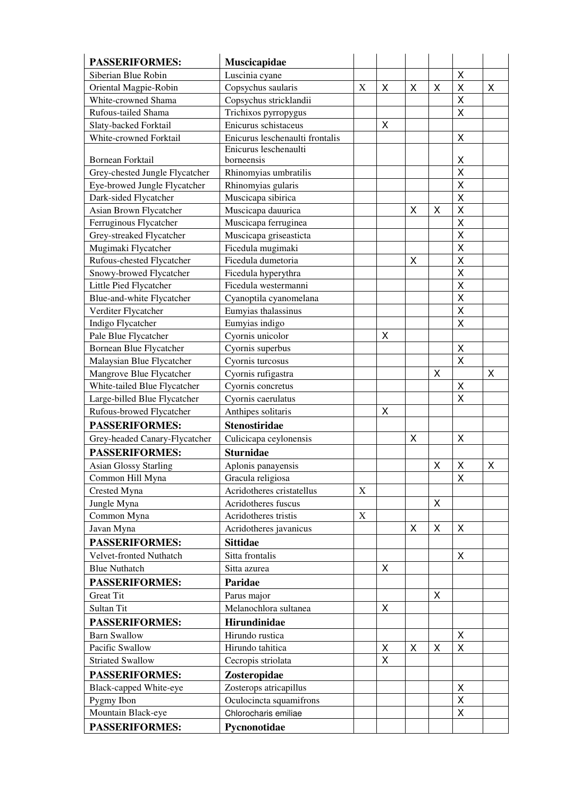| <b>PASSERIFORMES:</b>          | Muscicapidae                    |             |                |   |   |                         |   |
|--------------------------------|---------------------------------|-------------|----------------|---|---|-------------------------|---|
| Siberian Blue Robin            | Luscinia cyane                  |             |                |   |   | X                       |   |
| Oriental Magpie-Robin          | Copsychus saularis              | X           | X              | X | Χ | $\sf X$                 | X |
| White-crowned Shama            | Copsychus stricklandii          |             |                |   |   | $\pmb{\mathsf{X}}$      |   |
| Rufous-tailed Shama            | Trichixos pyrropygus            |             |                |   |   | $\pmb{\times}$          |   |
| Slaty-backed Forktail          | Enicurus schistaceus            |             | X              |   |   |                         |   |
| White-crowned Forktail         | Enicurus leschenaulti frontalis |             |                |   |   | X                       |   |
|                                | Enicurus leschenaulti           |             |                |   |   |                         |   |
| <b>Bornean Forktail</b>        | borneensis                      |             |                |   |   | X                       |   |
| Grey-chested Jungle Flycatcher | Rhinomyias umbratilis           |             |                |   |   | $\mathsf{X}$            |   |
| Eye-browed Jungle Flycatcher   | Rhinomyias gularis              |             |                |   |   | $\sf X$                 |   |
| Dark-sided Flycatcher          | Muscicapa sibirica              |             |                |   |   | $\sf X$                 |   |
| Asian Brown Flycatcher         | Muscicapa dauurica              |             |                | X | X | $\pmb{\mathsf{X}}$      |   |
| Ferruginous Flycatcher         | Muscicapa ferruginea            |             |                |   |   | X                       |   |
| Grey-streaked Flycatcher       | Muscicapa griseasticta          |             |                |   |   | $\sf X$                 |   |
| Mugimaki Flycatcher            | Ficedula mugimaki               |             |                |   |   | $\mathsf{X}$            |   |
| Rufous-chested Flycatcher      | Ficedula dumetoria              |             |                | X |   | $\sf X$                 |   |
| Snowy-browed Flycatcher        | Ficedula hyperythra             |             |                |   |   | $\pmb{\mathsf{X}}$      |   |
| Little Pied Flycatcher         | Ficedula westermanni            |             |                |   |   | $\sf X$                 |   |
| Blue-and-white Flycatcher      | Cyanoptila cyanomelana          |             |                |   |   | $\overline{\mathsf{X}}$ |   |
| Verditer Flycatcher            | Eumyias thalassinus             |             |                |   |   | $\pmb{\mathsf{X}}$      |   |
| Indigo Flycatcher              | Eumyias indigo                  |             |                |   |   | $\pmb{\times}$          |   |
| Pale Blue Flycatcher           | Cyornis unicolor                |             | $\pmb{\times}$ |   |   |                         |   |
| Bornean Blue Flycatcher        | Cyornis superbus                |             |                |   |   | X                       |   |
| Malaysian Blue Flycatcher      | Cyornis turcosus                |             |                |   |   | $\mathsf{X}$            |   |
| Mangrove Blue Flycatcher       | Cyornis rufigastra              |             |                |   | Χ |                         | X |
| White-tailed Blue Flycatcher   | Cyornis concretus               |             |                |   |   | X                       |   |
| Large-billed Blue Flycatcher   | Cyornis caerulatus              |             |                |   |   | $\pmb{\times}$          |   |
| Rufous-browed Flycatcher       | Anthipes solitaris              |             | X              |   |   |                         |   |
| <b>PASSERIFORMES:</b>          | <b>Stenostiridae</b>            |             |                |   |   |                         |   |
| Grey-headed Canary-Flycatcher  | Culicicapa ceylonensis          |             |                | X |   | X                       |   |
| <b>PASSERIFORMES:</b>          | <b>Sturnidae</b>                |             |                |   |   |                         |   |
| <b>Asian Glossy Starling</b>   | Aplonis panayensis              |             |                |   | Χ | Χ                       | X |
| Common Hill Myna               | Gracula religiosa               |             |                |   |   | X                       |   |
| Crested Myna                   | Acridotheres cristatellus       | X           |                |   |   |                         |   |
| Jungle Myna                    | Acridotheres fuscus             |             |                |   | X |                         |   |
| Common Myna                    | Acridotheres tristis            | $\mathbf X$ |                |   |   |                         |   |
| Javan Myna                     | Acridotheres javanicus          |             |                | X | Χ | X                       |   |
| <b>PASSERIFORMES:</b>          | <b>Sittidae</b>                 |             |                |   |   |                         |   |
| Velvet-fronted Nuthatch        | Sitta frontalis                 |             |                |   |   | X                       |   |
| <b>Blue Nuthatch</b>           | Sitta azurea                    |             | X              |   |   |                         |   |
| PASSERIFORMES:                 | Paridae                         |             |                |   |   |                         |   |
| <b>Great Tit</b>               | Parus major                     |             |                |   | X |                         |   |
| Sultan Tit                     | Melanochlora sultanea           |             | X              |   |   |                         |   |
| <b>PASSERIFORMES:</b>          | Hirundinidae                    |             |                |   |   |                         |   |
| <b>Barn Swallow</b>            | Hirundo rustica                 |             |                |   |   |                         |   |
| Pacific Swallow                | Hirundo tahitica                |             | X              | X | Χ | X<br>X                  |   |
| <b>Striated Swallow</b>        |                                 |             | X              |   |   |                         |   |
|                                | Cecropis striolata              |             |                |   |   |                         |   |
| <b>PASSERIFORMES:</b>          | Zosteropidae                    |             |                |   |   |                         |   |
| Black-capped White-eye         | Zosterops atricapillus          |             |                |   |   | X                       |   |
| Pygmy Ibon                     | Oculocincta squamifrons         |             |                |   |   | $\mathsf X$             |   |
| Mountain Black-eye             | Chlorocharis emiliae            |             |                |   |   | $\pmb{\times}$          |   |
| <b>PASSERIFORMES:</b>          | Pycnonotidae                    |             |                |   |   |                         |   |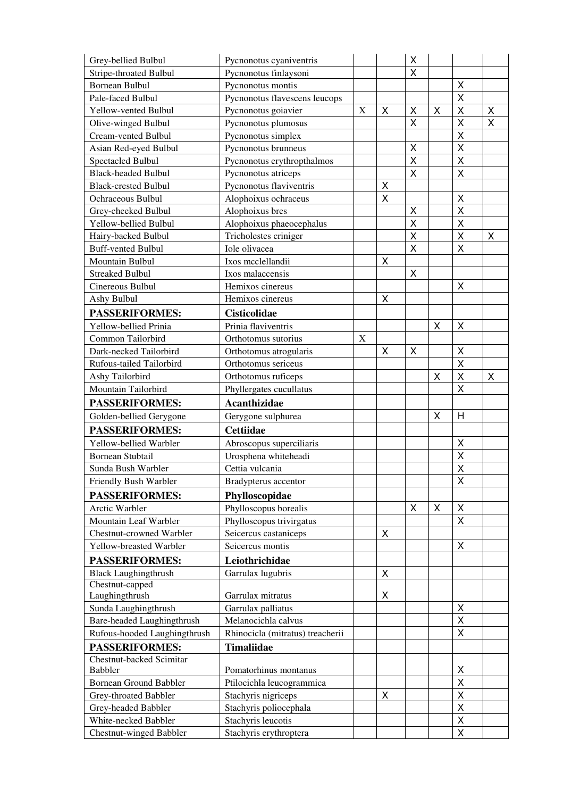| Grey-bellied Bulbul                             | Pycnonotus cyaniventris                      |             |             | X                       |                    |                         |              |
|-------------------------------------------------|----------------------------------------------|-------------|-------------|-------------------------|--------------------|-------------------------|--------------|
| <b>Stripe-throated Bulbul</b>                   | Pycnonotus finlaysoni                        |             |             | X                       |                    |                         |              |
| <b>Bornean Bulbul</b>                           | Pycnonotus montis                            |             |             |                         |                    | X                       |              |
| Pale-faced Bulbul                               | Pycnonotus flavescens leucops                |             |             |                         |                    | X                       |              |
| Yellow-vented Bulbul                            | Pycnonotus goiavier                          | X           | X           | Χ                       | X                  | $\pmb{\mathsf{X}}$      | Χ            |
| Olive-winged Bulbul                             | Pycnonotus plumosus                          |             |             | $\pmb{\mathsf{X}}$      |                    | $\mathsf{X}$            | $\mathsf{X}$ |
| Cream-vented Bulbul                             | Pycnonotus simplex                           |             |             |                         |                    | $\sf X$                 |              |
| Asian Red-eyed Bulbul                           | Pycnonotus brunneus                          |             |             | X                       |                    | $\sf X$                 |              |
| Spectacled Bulbul                               | Pycnonotus erythropthalmos                   |             |             | $\overline{\mathsf{X}}$ |                    | $\sf X$                 |              |
| <b>Black-headed Bulbul</b>                      | Pycnonotus atriceps                          |             |             | $\overline{\mathsf{x}}$ |                    | $\overline{\mathsf{x}}$ |              |
| <b>Black-crested Bulbul</b>                     | Pycnonotus flaviventris                      |             | X           |                         |                    |                         |              |
| Ochraceous Bulbul                               | Alophoixus ochraceus                         |             | X           |                         |                    | $\sf X$                 |              |
| Grey-cheeked Bulbul                             | Alophoixus bres                              |             |             | $\pmb{\mathsf{X}}$      |                    | $\mathsf{X}$            |              |
| Yellow-bellied Bulbul                           | Alophoixus phaeocephalus                     |             |             | X                       |                    | $\mathsf{X}$            |              |
| Hairy-backed Bulbul                             | Tricholestes criniger                        |             |             | $\overline{\mathsf{x}}$ |                    | $\overline{\mathsf{X}}$ | X            |
| <b>Buff-vented Bulbul</b>                       | Iole olivacea                                |             |             | $\sf X$                 |                    | $\pmb{\mathsf{X}}$      |              |
| Mountain Bulbul                                 | Ixos mcclellandii                            |             | X           |                         |                    |                         |              |
| <b>Streaked Bulbul</b>                          | Ixos malaccensis                             |             |             | $\pmb{\mathsf{X}}$      |                    |                         |              |
| Cinereous Bulbul                                | Hemixos cinereus                             |             |             |                         |                    | X                       |              |
| Ashy Bulbul                                     | Hemixos cinereus                             |             | $\mathsf X$ |                         |                    |                         |              |
| <b>PASSERIFORMES:</b>                           | <b>Cisticolidae</b>                          |             |             |                         |                    |                         |              |
| Yellow-bellied Prinia                           | Prinia flaviventris                          |             |             |                         | $\pmb{\mathsf{X}}$ | $\mathsf{X}$            |              |
| Common Tailorbird                               | Orthotomus sutorius                          | $\mathbf X$ |             |                         |                    |                         |              |
| Dark-necked Tailorbird                          | Orthotomus atrogularis                       |             | X           | X                       |                    | X                       |              |
| Rufous-tailed Tailorbird                        | Orthotomus sericeus                          |             |             |                         |                    | $\sf X$                 |              |
| Ashy Tailorbird                                 | Orthotomus ruficeps                          |             |             |                         | X                  | $\pmb{\mathsf{X}}$      | Χ            |
| Mountain Tailorbird                             | Phyllergates cucullatus                      |             |             |                         |                    | $\sf X$                 |              |
| <b>PASSERIFORMES:</b>                           | <b>Acanthizidae</b>                          |             |             |                         |                    |                         |              |
| Golden-bellied Gerygone                         | Gerygone sulphurea                           |             |             |                         | X                  | H                       |              |
| <b>PASSERIFORMES:</b>                           | <b>Cettiidae</b>                             |             |             |                         |                    |                         |              |
| Yellow-bellied Warbler                          | Abroscopus superciliaris                     |             |             |                         |                    | X                       |              |
| <b>Bornean Stubtail</b>                         | Urosphena whiteheadi                         |             |             |                         |                    | X                       |              |
| Sunda Bush Warbler                              | Cettia vulcania                              |             |             |                         |                    | X                       |              |
| <b>Friendly Bush Warbler</b>                    | Bradypterus accentor                         |             |             |                         |                    | X                       |              |
| <b>PASSERIFORMES:</b>                           | Phylloscopidae                               |             |             |                         |                    |                         |              |
| <b>Arctic Warbler</b>                           | Phylloscopus borealis                        |             |             | X                       | Χ                  | X                       |              |
| Mountain Leaf Warbler                           | Phylloscopus trivirgatus                     |             |             |                         |                    | $\pmb{\times}$          |              |
| Chestnut-crowned Warbler                        | Seicercus castaniceps                        |             | X           |                         |                    |                         |              |
| Yellow-breasted Warbler                         | Seicercus montis                             |             |             |                         |                    | X                       |              |
|                                                 |                                              |             |             |                         |                    |                         |              |
| <b>PASSERIFORMES:</b>                           | Leiothrichidae                               |             |             |                         |                    |                         |              |
| <b>Black Laughingthrush</b><br>Chestnut-capped  | Garrulax lugubris                            |             | X           |                         |                    |                         |              |
| Laughingthrush                                  | Garrulax mitratus                            |             | X           |                         |                    |                         |              |
| Sunda Laughingthrush                            | Garrulax palliatus                           |             |             |                         |                    | X                       |              |
| Bare-headed Laughingthrush                      | Melanocichla calvus                          |             |             |                         |                    | $\sf X$                 |              |
| Rufous-hooded Laughingthrush                    | Rhinocicla (mitratus) treacherii             |             |             |                         |                    | $\pmb{\mathsf{X}}$      |              |
| <b>PASSERIFORMES:</b>                           | <b>Timaliidae</b>                            |             |             |                         |                    |                         |              |
| Chestnut-backed Scimitar                        |                                              |             |             |                         |                    |                         |              |
|                                                 |                                              |             |             |                         |                    |                         |              |
|                                                 |                                              |             |             |                         |                    |                         |              |
| <b>Babbler</b>                                  | Pomatorhinus montanus                        |             |             |                         |                    | X                       |              |
| <b>Bornean Ground Babbler</b>                   | Ptilocichla leucogrammica                    |             |             |                         |                    | $\mathsf{X}$            |              |
| Grey-throated Babbler                           | Stachyris nigriceps                          |             | Χ           |                         |                    | $\pmb{\mathsf{X}}$      |              |
| Grey-headed Babbler                             | Stachyris poliocephala                       |             |             |                         |                    | $\mathsf{X}$            |              |
| White-necked Babbler<br>Chestnut-winged Babbler | Stachyris leucotis<br>Stachyris erythroptera |             |             |                         |                    | $\pmb{\mathsf{X}}$<br>X |              |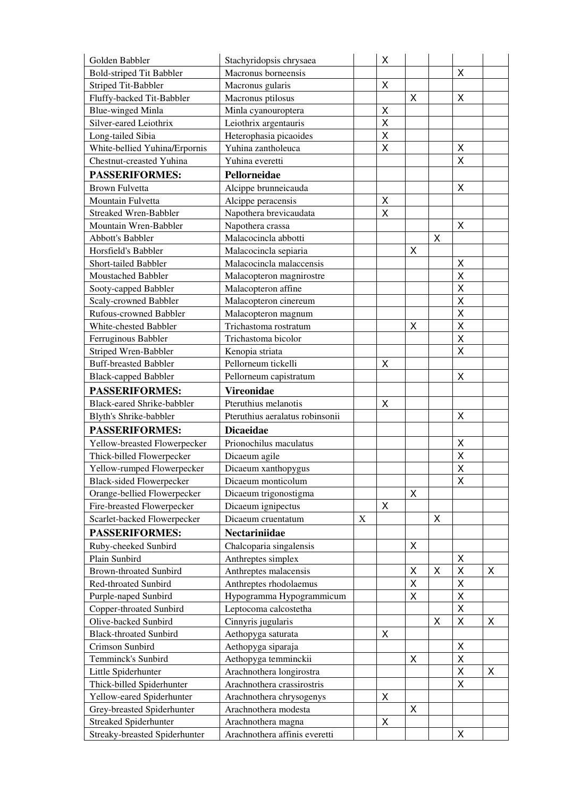| Golden Babbler                    | Stachyridopsis chrysaea         |             | Χ |   |   |                         |   |
|-----------------------------------|---------------------------------|-------------|---|---|---|-------------------------|---|
| <b>Bold-striped Tit Babbler</b>   | Macronus borneensis             |             |   |   |   | X                       |   |
| <b>Striped Tit-Babbler</b>        | Macronus gularis                |             | X |   |   |                         |   |
| Fluffy-backed Tit-Babbler         | Macronus ptilosus               |             |   | Χ |   | Χ                       |   |
| <b>Blue-winged Minla</b>          | Minla cyanouroptera             |             | Χ |   |   |                         |   |
| Silver-eared Leiothrix            | Leiothrix argentauris           |             | X |   |   |                         |   |
| Long-tailed Sibia                 | Heterophasia picaoides          |             | X |   |   |                         |   |
| White-bellied Yuhina/Erpornis     | Yuhina zantholeuca              |             | X |   |   | X                       |   |
| Chestnut-creasted Yuhina          | Yuhina everetti                 |             |   |   |   | $\overline{\mathsf{X}}$ |   |
| <b>PASSERIFORMES:</b>             | Pellorneidae                    |             |   |   |   |                         |   |
| <b>Brown Fulvetta</b>             | Alcippe brunneicauda            |             |   |   |   | X                       |   |
| Mountain Fulvetta                 | Alcippe peracensis              |             | Χ |   |   |                         |   |
| <b>Streaked Wren-Babbler</b>      | Napothera brevicaudata          |             | X |   |   |                         |   |
| Mountain Wren-Babbler             | Napothera crassa                |             |   |   |   | X                       |   |
| <b>Abbott's Babbler</b>           | Malacocincla abbotti            |             |   |   | X |                         |   |
| Horsfield's Babbler               | Malacocincla sepiaria           |             |   | X |   |                         |   |
| Short-tailed Babbler              | Malacocincla malaccensis        |             |   |   |   | Χ                       |   |
| Moustached Babbler                | Malacopteron magnirostre        |             |   |   |   | $\pmb{\mathsf{X}}$      |   |
| Sooty-capped Babbler              | Malacopteron affine             |             |   |   |   | X                       |   |
| Scaly-crowned Babbler             | Malacopteron cinereum           |             |   |   |   | Χ                       |   |
| Rufous-crowned Babbler            | Malacopteron magnum             |             |   |   |   | X                       |   |
| White-chested Babbler             | Trichastoma rostratum           |             |   | X |   | $\mathsf{X}$            |   |
| Ferruginous Babbler               | Trichastoma bicolor             |             |   |   |   | $\sf X$                 |   |
| Striped Wren-Babbler              | Kenopia striata                 |             |   |   |   | Χ                       |   |
| <b>Buff-breasted Babbler</b>      | Pellorneum tickelli             |             | X |   |   |                         |   |
| <b>Black-capped Babbler</b>       | Pellorneum capistratum          |             |   |   |   | Χ                       |   |
| <b>PASSERIFORMES:</b>             | <b>Vireonidae</b>               |             |   |   |   |                         |   |
| <b>Black-eared Shrike-babbler</b> | Pteruthius melanotis            |             | X |   |   |                         |   |
| Blyth's Shrike-babbler            | Pteruthius aeralatus robinsonii |             |   |   |   | X                       |   |
| <b>PASSERIFORMES:</b>             | <b>Dicaeidae</b>                |             |   |   |   |                         |   |
| Yellow-breasted Flowerpecker      | Prionochilus maculatus          |             |   |   |   | Χ                       |   |
| Thick-billed Flowerpecker         | Dicaeum agile                   |             |   |   |   | X                       |   |
| Yellow-rumped Flowerpecker        | Dicaeum xanthopygus             |             |   |   |   | $\sf X$                 |   |
| <b>Black-sided Flowerpecker</b>   | Dicaeum monticolum              |             |   |   |   | Χ                       |   |
| Orange-bellied Flowerpecker       | Dicaeum trigonostigma           |             |   | X |   |                         |   |
| Fire-breasted Flowerpecker        | Dicaeum ignipectus              |             | X |   |   |                         |   |
| Scarlet-backed Flowerpecker       | Dicaeum cruentatum              | $\mathbf X$ |   |   | Χ |                         |   |
| <b>PASSERIFORMES:</b>             | Nectariniidae                   |             |   |   |   |                         |   |
| Ruby-cheeked Sunbird              | Chalcoparia singalensis         |             |   | X |   |                         |   |
| Plain Sunbird                     | Anthreptes simplex              |             |   |   |   | Χ                       |   |
| <b>Brown-throated Sunbird</b>     | Anthreptes malacensis           |             |   | X | Χ | X                       | X |
| Red-throated Sunbird              | Anthreptes rhodolaemus          |             |   | Χ |   | $\pmb{\mathsf{X}}$      |   |
| Purple-naped Sunbird              | Hypogramma Hypogrammicum        |             |   | Χ |   | X                       |   |
| Copper-throated Sunbird           | Leptocoma calcostetha           |             |   |   |   | Χ                       |   |
| Olive-backed Sunbird              | Cinnyris jugularis              |             |   |   | Χ | Χ                       | X |
| <b>Black-throated Sunbird</b>     | Aethopyga saturata              |             | X |   |   |                         |   |
| Crimson Sunbird                   | Aethopyga siparaja              |             |   |   |   | X                       |   |
| Temminck's Sunbird                | Aethopyga temminckii            |             |   | X |   | X                       |   |
| Little Spiderhunter               | Arachnothera longirostra        |             |   |   |   | X                       | X |
| Thick-billed Spiderhunter         | Arachnothera crassirostris      |             |   |   |   | Χ                       |   |
| Yellow-eared Spiderhunter         | Arachnothera chrysogenys        |             | X |   |   |                         |   |
| Grey-breasted Spiderhunter        | Arachnothera modesta            |             |   | X |   |                         |   |
| Streaked Spiderhunter             |                                 |             |   |   |   |                         |   |
|                                   | Arachnothera magna              |             | X |   |   |                         |   |